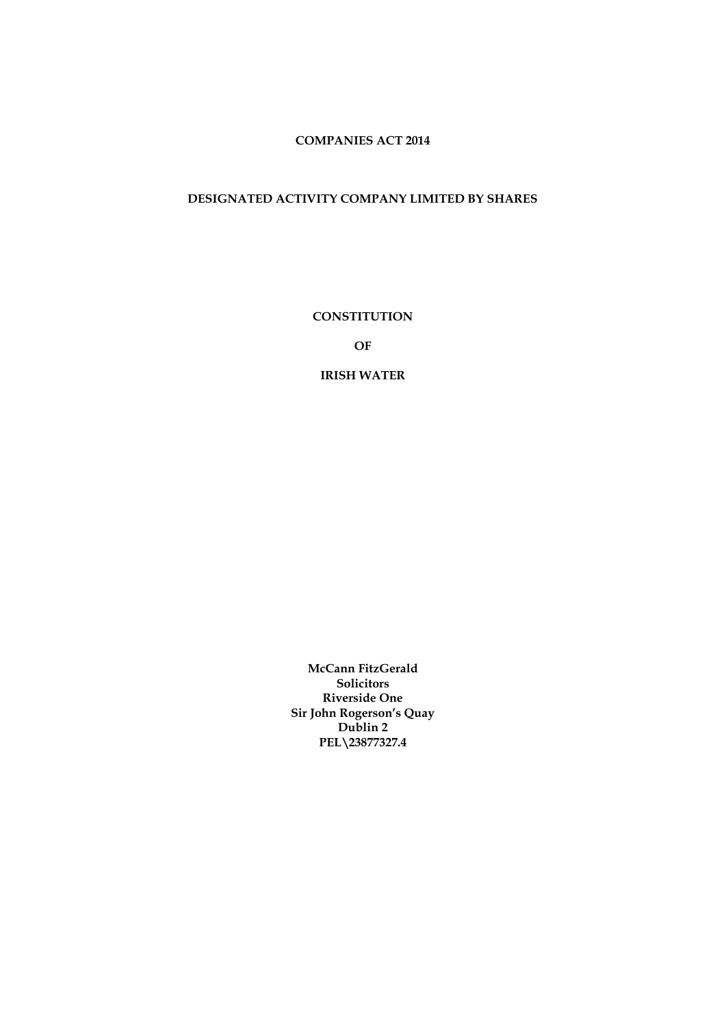# **COMPANIES ACT 2014**

# **DESIGNATED ACTIVITY COMPANY LIMITED BY SHARES**

**CONSTITUTION**

**OF**

**IRISH WATER**

**McCann FitzGerald Solicitors Riverside One Sir John Rogerson's Quay Dublin 2 PEL\23877327.4**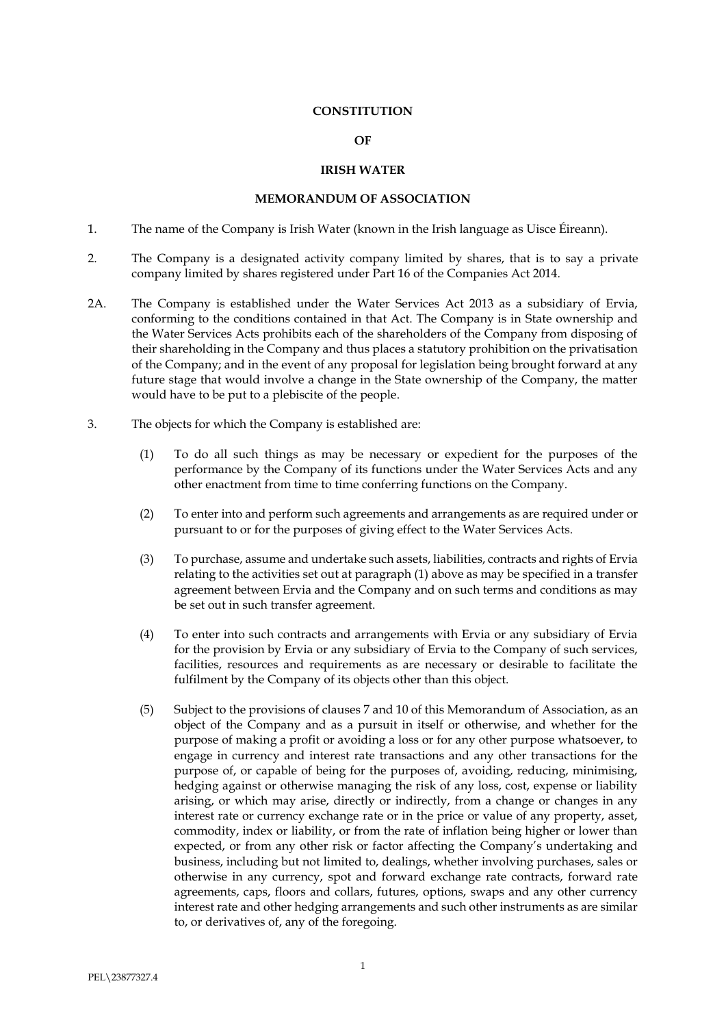#### **CONSTITUTION**

#### **OF**

## **IRISH WATER**

#### **MEMORANDUM OF ASSOCIATION**

- 1. The name of the Company is Irish Water (known in the Irish language as Uisce Éireann).
- 2. The Company is a designated activity company limited by shares, that is to say a private company limited by shares registered under Part 16 of the Companies Act 2014.
- 2A. The Company is established under the Water Services Act 2013 as a subsidiary of Ervia, conforming to the conditions contained in that Act. The Company is in State ownership and the Water Services Acts prohibits each of the shareholders of the Company from disposing of their shareholding in the Company and thus places a statutory prohibition on the privatisation of the Company; and in the event of any proposal for legislation being brought forward at any future stage that would involve a change in the State ownership of the Company, the matter would have to be put to a plebiscite of the people.
- 3. The objects for which the Company is established are:
	- (1) To do all such things as may be necessary or expedient for the purposes of the performance by the Company of its functions under the Water Services Acts and any other enactment from time to time conferring functions on the Company.
	- (2) To enter into and perform such agreements and arrangements as are required under or pursuant to or for the purposes of giving effect to the Water Services Acts.
	- (3) To purchase, assume and undertake such assets, liabilities, contracts and rights of Ervia relating to the activities set out at paragraph (1) above as may be specified in a transfer agreement between Ervia and the Company and on such terms and conditions as may be set out in such transfer agreement.
	- (4) To enter into such contracts and arrangements with Ervia or any subsidiary of Ervia for the provision by Ervia or any subsidiary of Ervia to the Company of such services, facilities, resources and requirements as are necessary or desirable to facilitate the fulfilment by the Company of its objects other than this object.
	- (5) Subject to the provisions of clauses 7 and 10 of this Memorandum of Association, as an object of the Company and as a pursuit in itself or otherwise, and whether for the purpose of making a profit or avoiding a loss or for any other purpose whatsoever, to engage in currency and interest rate transactions and any other transactions for the purpose of, or capable of being for the purposes of, avoiding, reducing, minimising, hedging against or otherwise managing the risk of any loss, cost, expense or liability arising, or which may arise, directly or indirectly, from a change or changes in any interest rate or currency exchange rate or in the price or value of any property, asset, commodity, index or liability, or from the rate of inflation being higher or lower than expected, or from any other risk or factor affecting the Company's undertaking and business, including but not limited to, dealings, whether involving purchases, sales or otherwise in any currency, spot and forward exchange rate contracts, forward rate agreements, caps, floors and collars, futures, options, swaps and any other currency interest rate and other hedging arrangements and such other instruments as are similar to, or derivatives of, any of the foregoing.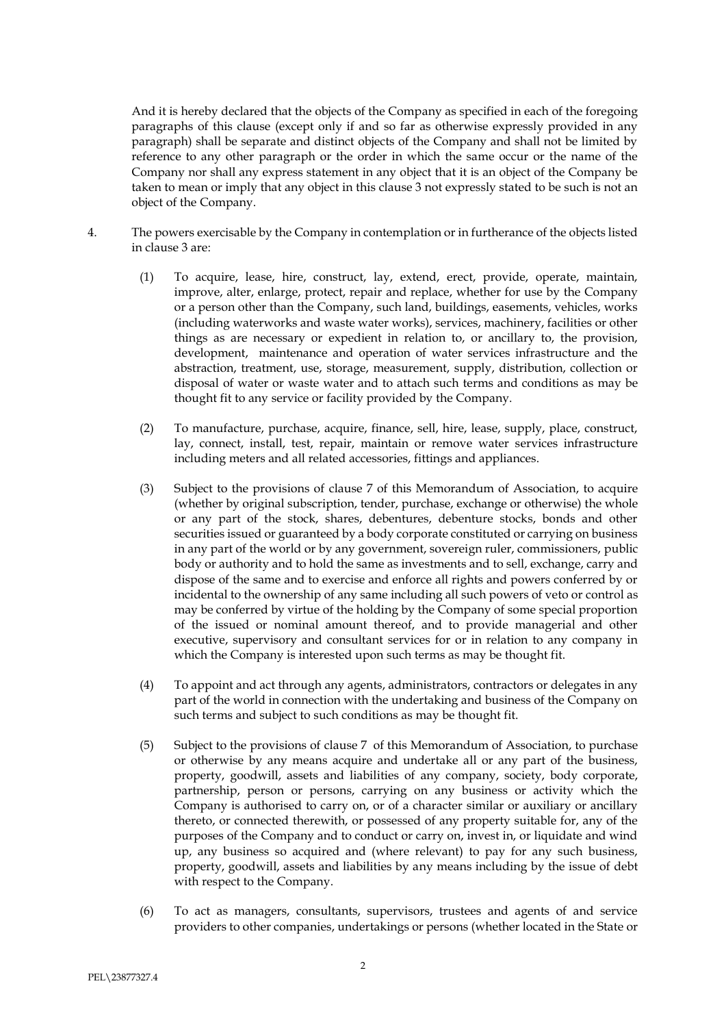And it is hereby declared that the objects of the Company as specified in each of the foregoing paragraphs of this clause (except only if and so far as otherwise expressly provided in any paragraph) shall be separate and distinct objects of the Company and shall not be limited by reference to any other paragraph or the order in which the same occur or the name of the Company nor shall any express statement in any object that it is an object of the Company be taken to mean or imply that any object in this clause 3 not expressly stated to be such is not an object of the Company.

- 4. The powers exercisable by the Company in contemplation or in furtherance of the objects listed in clause 3 are:
	- (1) To acquire, lease, hire, construct, lay, extend, erect, provide, operate, maintain, improve, alter, enlarge, protect, repair and replace, whether for use by the Company or a person other than the Company, such land, buildings, easements, vehicles, works (including waterworks and waste water works), services, machinery, facilities or other things as are necessary or expedient in relation to, or ancillary to, the provision, development, maintenance and operation of water services infrastructure and the abstraction, treatment, use, storage, measurement, supply, distribution, collection or disposal of water or waste water and to attach such terms and conditions as may be thought fit to any service or facility provided by the Company.
	- (2) To manufacture, purchase, acquire, finance, sell, hire, lease, supply, place, construct, lay, connect, install, test, repair, maintain or remove water services infrastructure including meters and all related accessories, fittings and appliances.
	- (3) Subject to the provisions of clause 7 of this Memorandum of Association, to acquire (whether by original subscription, tender, purchase, exchange or otherwise) the whole or any part of the stock, shares, debentures, debenture stocks, bonds and other securities issued or guaranteed by a body corporate constituted or carrying on business in any part of the world or by any government, sovereign ruler, commissioners, public body or authority and to hold the same as investments and to sell, exchange, carry and dispose of the same and to exercise and enforce all rights and powers conferred by or incidental to the ownership of any same including all such powers of veto or control as may be conferred by virtue of the holding by the Company of some special proportion of the issued or nominal amount thereof, and to provide managerial and other executive, supervisory and consultant services for or in relation to any company in which the Company is interested upon such terms as may be thought fit.
	- (4) To appoint and act through any agents, administrators, contractors or delegates in any part of the world in connection with the undertaking and business of the Company on such terms and subject to such conditions as may be thought fit.
	- (5) Subject to the provisions of clause 7 of this Memorandum of Association, to purchase or otherwise by any means acquire and undertake all or any part of the business, property, goodwill, assets and liabilities of any company, society, body corporate, partnership, person or persons, carrying on any business or activity which the Company is authorised to carry on, or of a character similar or auxiliary or ancillary thereto, or connected therewith, or possessed of any property suitable for, any of the purposes of the Company and to conduct or carry on, invest in, or liquidate and wind up, any business so acquired and (where relevant) to pay for any such business, property, goodwill, assets and liabilities by any means including by the issue of debt with respect to the Company.
	- (6) To act as managers, consultants, supervisors, trustees and agents of and service providers to other companies, undertakings or persons (whether located in the State or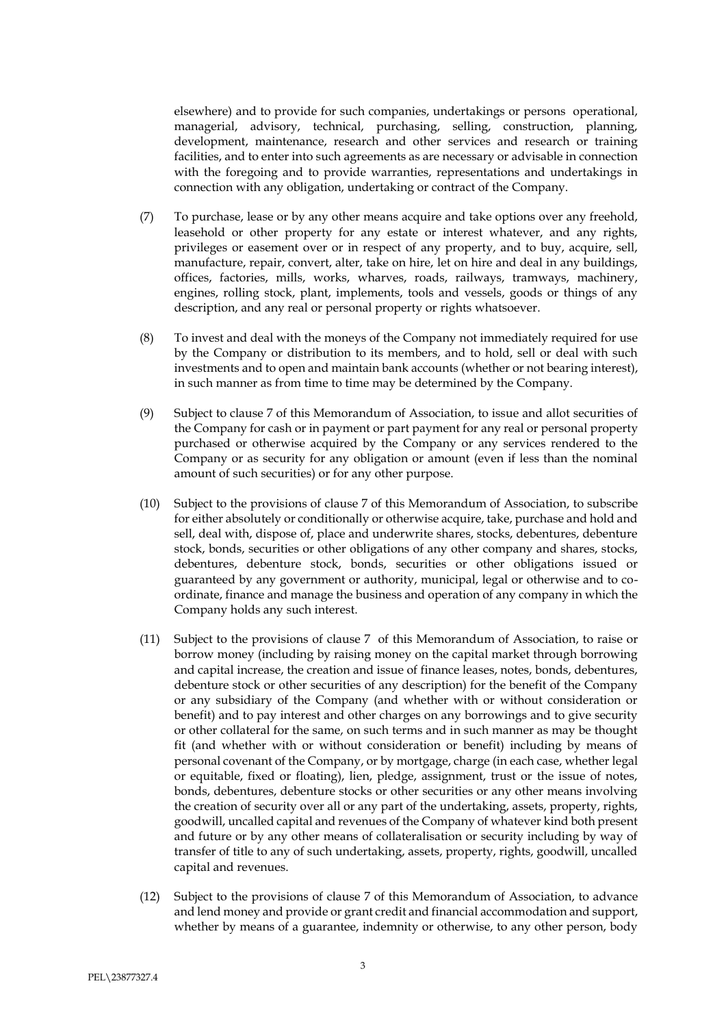elsewhere) and to provide for such companies, undertakings or persons operational, managerial, advisory, technical, purchasing, selling, construction, planning, development, maintenance, research and other services and research or training facilities, and to enter into such agreements as are necessary or advisable in connection with the foregoing and to provide warranties, representations and undertakings in connection with any obligation, undertaking or contract of the Company.

- (7) To purchase, lease or by any other means acquire and take options over any freehold, leasehold or other property for any estate or interest whatever, and any rights, privileges or easement over or in respect of any property, and to buy, acquire, sell, manufacture, repair, convert, alter, take on hire, let on hire and deal in any buildings, offices, factories, mills, works, wharves, roads, railways, tramways, machinery, engines, rolling stock, plant, implements, tools and vessels, goods or things of any description, and any real or personal property or rights whatsoever.
- (8) To invest and deal with the moneys of the Company not immediately required for use by the Company or distribution to its members, and to hold, sell or deal with such investments and to open and maintain bank accounts (whether or not bearing interest), in such manner as from time to time may be determined by the Company.
- (9) Subject to clause 7 of this Memorandum of Association, to issue and allot securities of the Company for cash or in payment or part payment for any real or personal property purchased or otherwise acquired by the Company or any services rendered to the Company or as security for any obligation or amount (even if less than the nominal amount of such securities) or for any other purpose.
- (10) Subject to the provisions of clause 7 of this Memorandum of Association, to subscribe for either absolutely or conditionally or otherwise acquire, take, purchase and hold and sell, deal with, dispose of, place and underwrite shares, stocks, debentures, debenture stock, bonds, securities or other obligations of any other company and shares, stocks, debentures, debenture stock, bonds, securities or other obligations issued or guaranteed by any government or authority, municipal, legal or otherwise and to coordinate, finance and manage the business and operation of any company in which the Company holds any such interest.
- (11) Subject to the provisions of clause 7 of this Memorandum of Association, to raise or borrow money (including by raising money on the capital market through borrowing and capital increase, the creation and issue of finance leases, notes, bonds, debentures, debenture stock or other securities of any description) for the benefit of the Company or any subsidiary of the Company (and whether with or without consideration or benefit) and to pay interest and other charges on any borrowings and to give security or other collateral for the same, on such terms and in such manner as may be thought fit (and whether with or without consideration or benefit) including by means of personal covenant of the Company, or by mortgage, charge (in each case, whether legal or equitable, fixed or floating), lien, pledge, assignment, trust or the issue of notes, bonds, debentures, debenture stocks or other securities or any other means involving the creation of security over all or any part of the undertaking, assets, property, rights, goodwill, uncalled capital and revenues of the Company of whatever kind both present and future or by any other means of collateralisation or security including by way of transfer of title to any of such undertaking, assets, property, rights, goodwill, uncalled capital and revenues.
- (12) Subject to the provisions of clause 7 of this Memorandum of Association, to advance and lend money and provide or grant credit and financial accommodation and support, whether by means of a guarantee, indemnity or otherwise, to any other person, body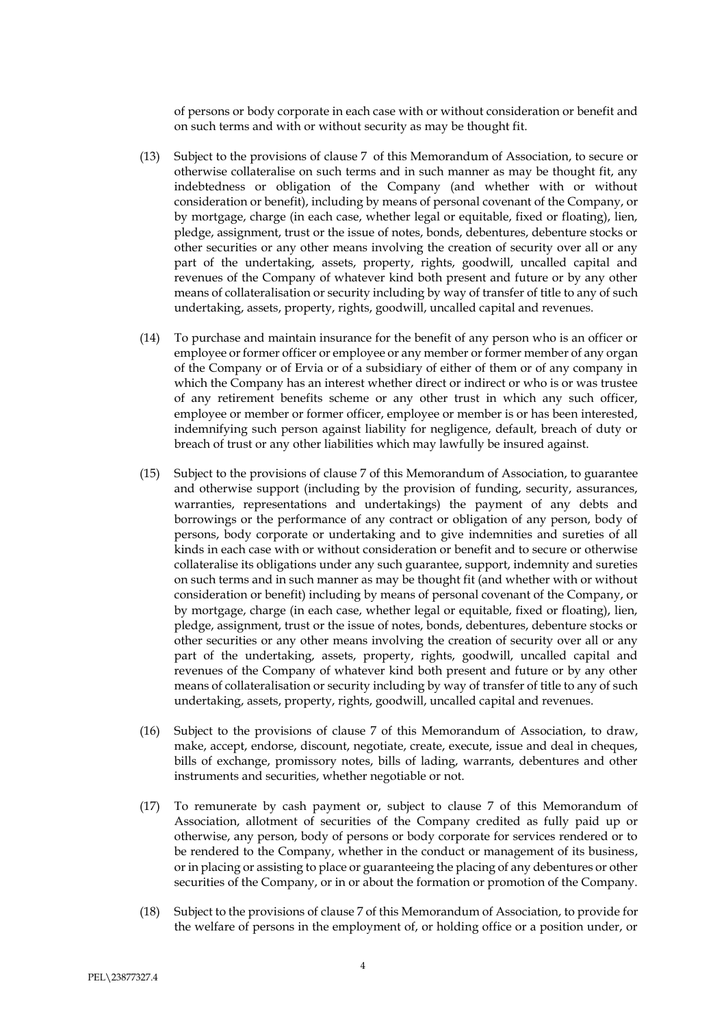of persons or body corporate in each case with or without consideration or benefit and on such terms and with or without security as may be thought fit.

- (13) Subject to the provisions of clause 7 of this Memorandum of Association, to secure or otherwise collateralise on such terms and in such manner as may be thought fit, any indebtedness or obligation of the Company (and whether with or without consideration or benefit), including by means of personal covenant of the Company, or by mortgage, charge (in each case, whether legal or equitable, fixed or floating), lien, pledge, assignment, trust or the issue of notes, bonds, debentures, debenture stocks or other securities or any other means involving the creation of security over all or any part of the undertaking, assets, property, rights, goodwill, uncalled capital and revenues of the Company of whatever kind both present and future or by any other means of collateralisation or security including by way of transfer of title to any of such undertaking, assets, property, rights, goodwill, uncalled capital and revenues.
- (14) To purchase and maintain insurance for the benefit of any person who is an officer or employee or former officer or employee or any member or former member of any organ of the Company or of Ervia or of a subsidiary of either of them or of any company in which the Company has an interest whether direct or indirect or who is or was trustee of any retirement benefits scheme or any other trust in which any such officer, employee or member or former officer, employee or member is or has been interested, indemnifying such person against liability for negligence, default, breach of duty or breach of trust or any other liabilities which may lawfully be insured against.
- (15) Subject to the provisions of clause 7 of this Memorandum of Association, to guarantee and otherwise support (including by the provision of funding, security, assurances, warranties, representations and undertakings) the payment of any debts and borrowings or the performance of any contract or obligation of any person, body of persons, body corporate or undertaking and to give indemnities and sureties of all kinds in each case with or without consideration or benefit and to secure or otherwise collateralise its obligations under any such guarantee, support, indemnity and sureties on such terms and in such manner as may be thought fit (and whether with or without consideration or benefit) including by means of personal covenant of the Company, or by mortgage, charge (in each case, whether legal or equitable, fixed or floating), lien, pledge, assignment, trust or the issue of notes, bonds, debentures, debenture stocks or other securities or any other means involving the creation of security over all or any part of the undertaking, assets, property, rights, goodwill, uncalled capital and revenues of the Company of whatever kind both present and future or by any other means of collateralisation or security including by way of transfer of title to any of such undertaking, assets, property, rights, goodwill, uncalled capital and revenues.
- (16) Subject to the provisions of clause 7 of this Memorandum of Association, to draw, make, accept, endorse, discount, negotiate, create, execute, issue and deal in cheques, bills of exchange, promissory notes, bills of lading, warrants, debentures and other instruments and securities, whether negotiable or not.
- (17) To remunerate by cash payment or, subject to clause 7 of this Memorandum of Association, allotment of securities of the Company credited as fully paid up or otherwise, any person, body of persons or body corporate for services rendered or to be rendered to the Company, whether in the conduct or management of its business, or in placing or assisting to place or guaranteeing the placing of any debentures or other securities of the Company, or in or about the formation or promotion of the Company.
- (18) Subject to the provisions of clause 7 of this Memorandum of Association, to provide for the welfare of persons in the employment of, or holding office or a position under, or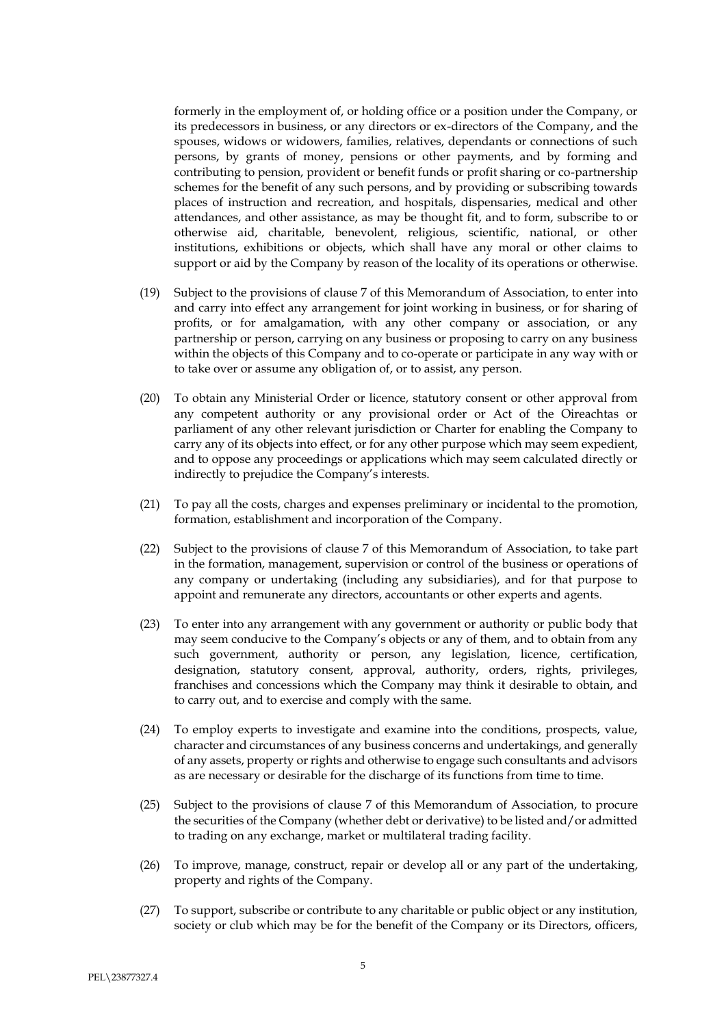formerly in the employment of, or holding office or a position under the Company, or its predecessors in business, or any directors or ex-directors of the Company, and the spouses, widows or widowers, families, relatives, dependants or connections of such persons, by grants of money, pensions or other payments, and by forming and contributing to pension, provident or benefit funds or profit sharing or co-partnership schemes for the benefit of any such persons, and by providing or subscribing towards places of instruction and recreation, and hospitals, dispensaries, medical and other attendances, and other assistance, as may be thought fit, and to form, subscribe to or otherwise aid, charitable, benevolent, religious, scientific, national, or other institutions, exhibitions or objects, which shall have any moral or other claims to support or aid by the Company by reason of the locality of its operations or otherwise.

- (19) Subject to the provisions of clause 7 of this Memorandum of Association, to enter into and carry into effect any arrangement for joint working in business, or for sharing of profits, or for amalgamation, with any other company or association, or any partnership or person, carrying on any business or proposing to carry on any business within the objects of this Company and to co-operate or participate in any way with or to take over or assume any obligation of, or to assist, any person.
- (20) To obtain any Ministerial Order or licence, statutory consent or other approval from any competent authority or any provisional order or Act of the Oireachtas or parliament of any other relevant jurisdiction or Charter for enabling the Company to carry any of its objects into effect, or for any other purpose which may seem expedient, and to oppose any proceedings or applications which may seem calculated directly or indirectly to prejudice the Company's interests.
- (21) To pay all the costs, charges and expenses preliminary or incidental to the promotion, formation, establishment and incorporation of the Company.
- (22) Subject to the provisions of clause 7 of this Memorandum of Association, to take part in the formation, management, supervision or control of the business or operations of any company or undertaking (including any subsidiaries), and for that purpose to appoint and remunerate any directors, accountants or other experts and agents.
- (23) To enter into any arrangement with any government or authority or public body that may seem conducive to the Company's objects or any of them, and to obtain from any such government, authority or person, any legislation, licence, certification, designation, statutory consent, approval, authority, orders, rights, privileges, franchises and concessions which the Company may think it desirable to obtain, and to carry out, and to exercise and comply with the same.
- (24) To employ experts to investigate and examine into the conditions, prospects, value, character and circumstances of any business concerns and undertakings, and generally of any assets, property or rights and otherwise to engage such consultants and advisors as are necessary or desirable for the discharge of its functions from time to time.
- (25) Subject to the provisions of clause 7 of this Memorandum of Association, to procure the securities of the Company (whether debt or derivative) to be listed and/or admitted to trading on any exchange, market or multilateral trading facility.
- (26) To improve, manage, construct, repair or develop all or any part of the undertaking, property and rights of the Company.
- (27) To support, subscribe or contribute to any charitable or public object or any institution, society or club which may be for the benefit of the Company or its Directors, officers,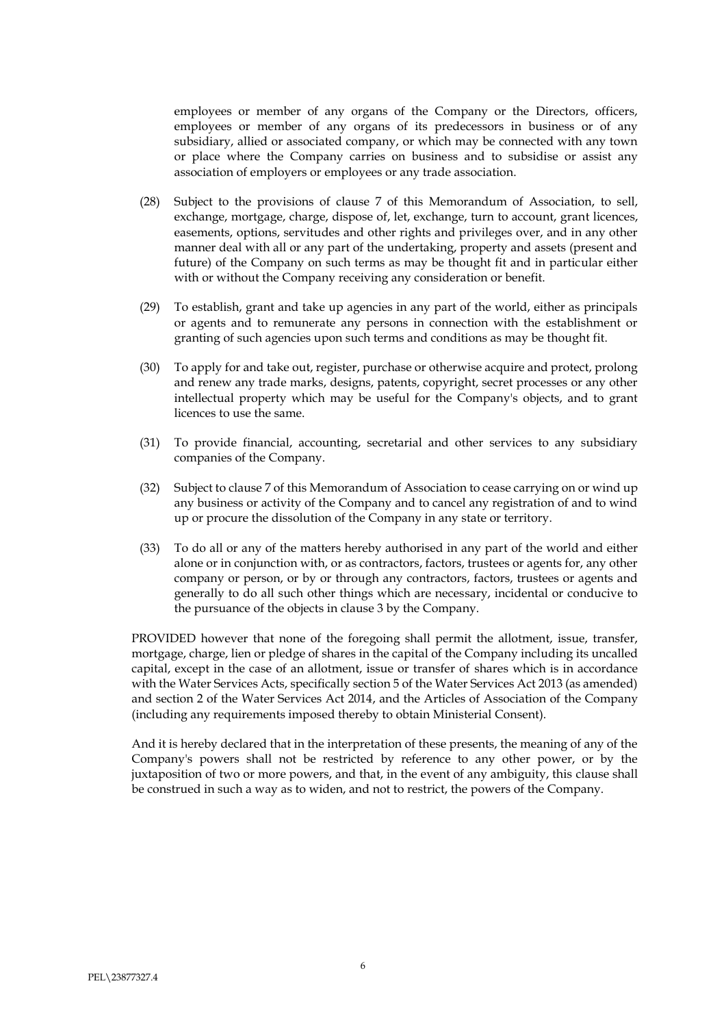employees or member of any organs of the Company or the Directors, officers, employees or member of any organs of its predecessors in business or of any subsidiary, allied or associated company, or which may be connected with any town or place where the Company carries on business and to subsidise or assist any association of employers or employees or any trade association.

- (28) Subject to the provisions of clause 7 of this Memorandum of Association, to sell, exchange, mortgage, charge, dispose of, let, exchange, turn to account, grant licences, easements, options, servitudes and other rights and privileges over, and in any other manner deal with all or any part of the undertaking, property and assets (present and future) of the Company on such terms as may be thought fit and in particular either with or without the Company receiving any consideration or benefit.
- (29) To establish, grant and take up agencies in any part of the world, either as principals or agents and to remunerate any persons in connection with the establishment or granting of such agencies upon such terms and conditions as may be thought fit.
- (30) To apply for and take out, register, purchase or otherwise acquire and protect, prolong and renew any trade marks, designs, patents, copyright, secret processes or any other intellectual property which may be useful for the Company's objects, and to grant licences to use the same.
- (31) To provide financial, accounting, secretarial and other services to any subsidiary companies of the Company.
- (32) Subject to clause 7 of this Memorandum of Association to cease carrying on or wind up any business or activity of the Company and to cancel any registration of and to wind up or procure the dissolution of the Company in any state or territory.
- (33) To do all or any of the matters hereby authorised in any part of the world and either alone or in conjunction with, or as contractors, factors, trustees or agents for, any other company or person, or by or through any contractors, factors, trustees or agents and generally to do all such other things which are necessary, incidental or conducive to the pursuance of the objects in clause 3 by the Company.

PROVIDED however that none of the foregoing shall permit the allotment, issue, transfer, mortgage, charge, lien or pledge of shares in the capital of the Company including its uncalled capital, except in the case of an allotment, issue or transfer of shares which is in accordance with the Water Services Acts, specifically section 5 of the Water Services Act 2013 (as amended) and section 2 of the Water Services Act 2014, and the Articles of Association of the Company (including any requirements imposed thereby to obtain Ministerial Consent).

And it is hereby declared that in the interpretation of these presents, the meaning of any of the Company's powers shall not be restricted by reference to any other power, or by the juxtaposition of two or more powers, and that, in the event of any ambiguity, this clause shall be construed in such a way as to widen, and not to restrict, the powers of the Company.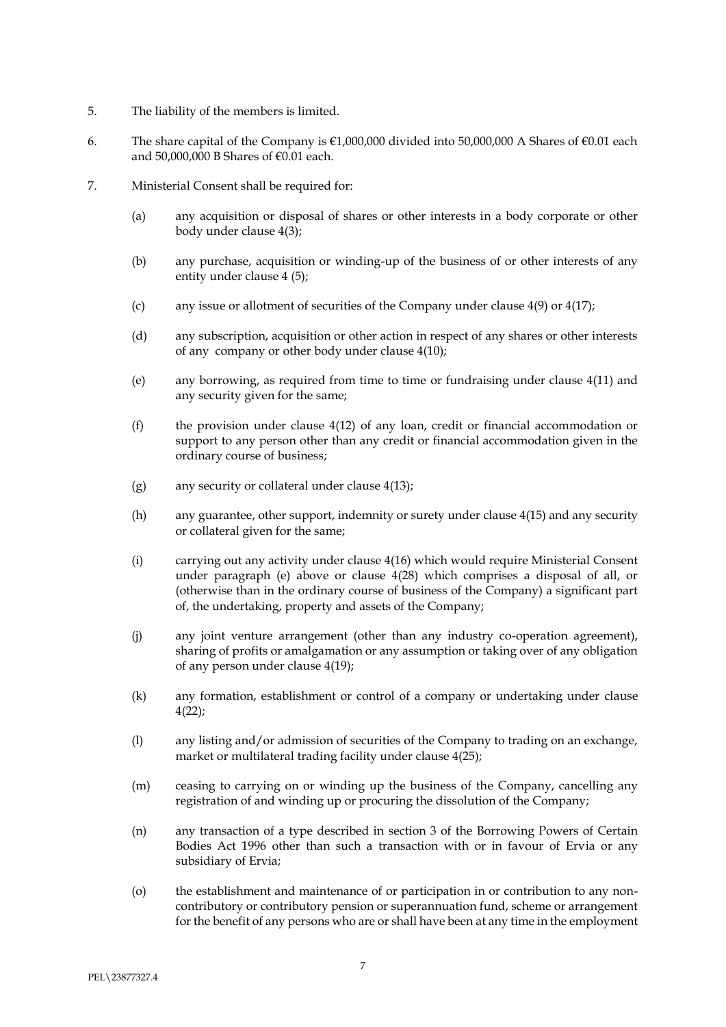- 5. The liability of the members is limited.
- 6. The share capital of the Company is  $€1,000,000$  divided into 50,000,000 A Shares of  $€0.01$  each and 50,000,000 B Shares of  $\epsilon$ 0.01 each.
- <span id="page-7-0"></span>7. Ministerial Consent shall be required for:
	- (a) any acquisition or disposal of shares or other interests in a body corporate or other body under clause 4(3);
	- (b) any purchase, acquisition or winding-up of the business of or other interests of any entity under clause 4 (5);
	- (c) any issue or allotment of securities of the Company under clause  $4(9)$  or  $4(17)$ ;
	- (d) any subscription, acquisition or other action in respect of any shares or other interests of any company or other body under clause 4(10);
	- (e) any borrowing, as required from time to time or fundraising under clause 4(11) and any security given for the same;
	- (f) the provision under clause 4(12) of any loan, credit or financial accommodation or support to any person other than any credit or financial accommodation given in the ordinary course of business;
	- (g) any security or collateral under clause 4(13);
	- (h) any guarantee, other support, indemnity or surety under clause 4(15) and any security or collateral given for the same;
	- (i) carrying out any activity under clause 4(16) which would require Ministerial Consent under paragraph [\(e\)](#page-7-0) above or clause 4(28) which comprises a disposal of all, or (otherwise than in the ordinary course of business of the Company) a significant part of, the undertaking, property and assets of the Company;
	- (j) any joint venture arrangement (other than any industry co-operation agreement), sharing of profits or amalgamation or any assumption or taking over of any obligation of any person under clause 4(19);
	- (k) any formation, establishment or control of a company or undertaking under clause 4(22);
	- (l) any listing and/or admission of securities of the Company to trading on an exchange, market or multilateral trading facility under clause 4(25);
	- (m) ceasing to carrying on or winding up the business of the Company, cancelling any registration of and winding up or procuring the dissolution of the Company;
	- (n) any transaction of a type described in section 3 of the Borrowing Powers of Certain Bodies Act 1996 other than such a transaction with or in favour of Ervia or any subsidiary of Ervia;
	- (o) the establishment and maintenance of or participation in or contribution to any noncontributory or contributory pension or superannuation fund, scheme or arrangement for the benefit of any persons who are or shall have been at any time in the employment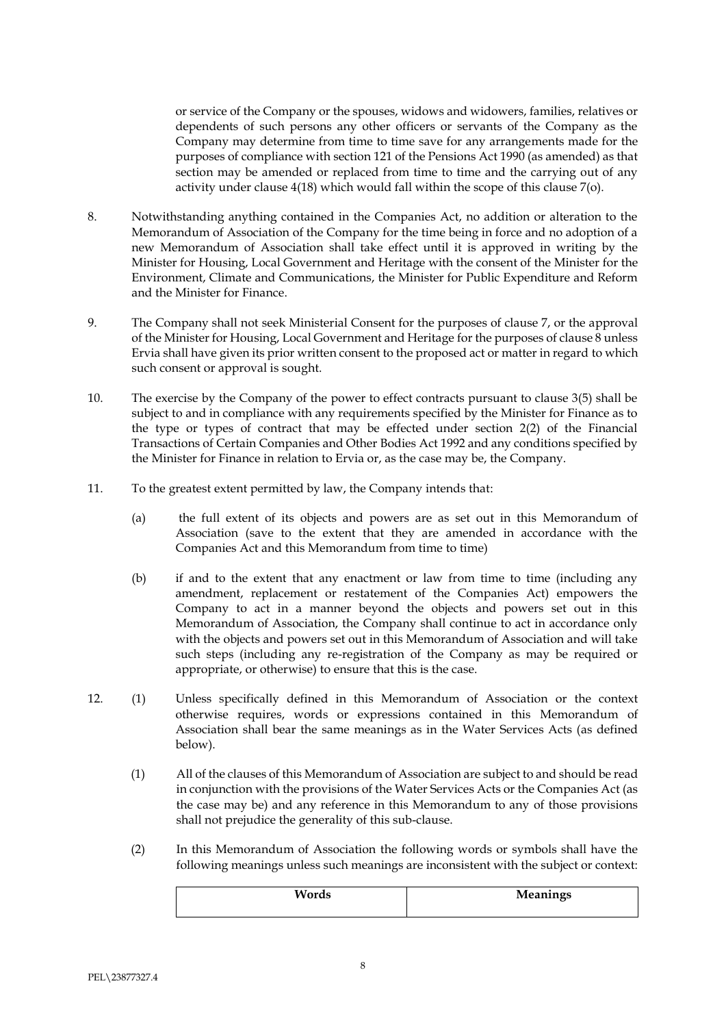or service of the Company or the spouses, widows and widowers, families, relatives or dependents of such persons any other officers or servants of the Company as the Company may determine from time to time save for any arrangements made for the purposes of compliance with section 121 of the Pensions Act 1990 (as amended) as that section may be amended or replaced from time to time and the carrying out of any activity under clause 4(18) which would fall within the scope of this clause 7(o).

- 8. Notwithstanding anything contained in the Companies Act, no addition or alteration to the Memorandum of Association of the Company for the time being in force and no adoption of a new Memorandum of Association shall take effect until it is approved in writing by the Minister for Housing, Local Government and Heritage with the consent of the Minister for the Environment, Climate and Communications, the Minister for Public Expenditure and Reform and the Minister for Finance.
- 9. The Company shall not seek Ministerial Consent for the purposes of clause 7, or the approval of the Minister for Housing, Local Government and Heritage for the purposes of clause 8 unless Ervia shall have given its prior written consent to the proposed act or matter in regard to which such consent or approval is sought.
- 10. The exercise by the Company of the power to effect contracts pursuant to clause 3(5) shall be subject to and in compliance with any requirements specified by the Minister for Finance as to the type or types of contract that may be effected under section 2(2) of the Financial Transactions of Certain Companies and Other Bodies Act 1992 and any conditions specified by the Minister for Finance in relation to Ervia or, as the case may be, the Company.
- 11. To the greatest extent permitted by law, the Company intends that:
	- (a) the full extent of its objects and powers are as set out in this Memorandum of Association (save to the extent that they are amended in accordance with the Companies Act and this Memorandum from time to time)
	- (b) if and to the extent that any enactment or law from time to time (including any amendment, replacement or restatement of the Companies Act) empowers the Company to act in a manner beyond the objects and powers set out in this Memorandum of Association, the Company shall continue to act in accordance only with the objects and powers set out in this Memorandum of Association and will take such steps (including any re-registration of the Company as may be required or appropriate, or otherwise) to ensure that this is the case.
- 12. (1) Unless specifically defined in this Memorandum of Association or the context otherwise requires, words or expressions contained in this Memorandum of Association shall bear the same meanings as in the Water Services Acts (as defined below).
	- (1) All of the clauses of this Memorandum of Association are subject to and should be read in conjunction with the provisions of the Water Services Acts or the Companies Act (as the case may be) and any reference in this Memorandum to any of those provisions shall not prejudice the generality of this sub-clause.
	- (2) In this Memorandum of Association the following words or symbols shall have the following meanings unless such meanings are inconsistent with the subject or context:

| Words | Meanings |
|-------|----------|
|       |          |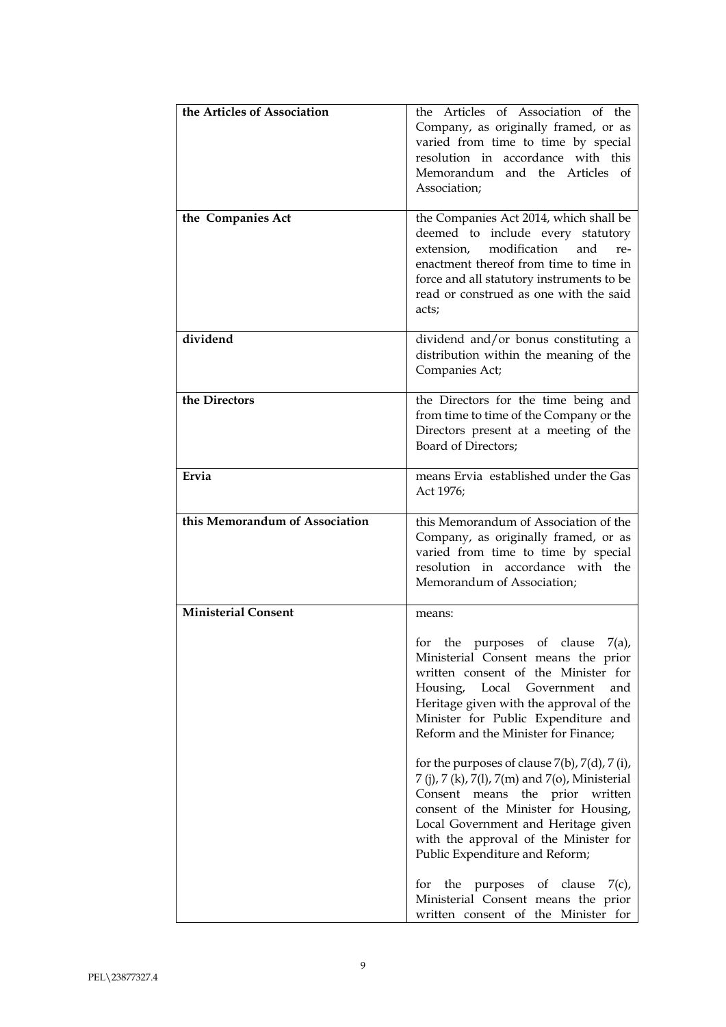| the Articles of Association    | the Articles of Association of the<br>Company, as originally framed, or as<br>varied from time to time by special<br>resolution in accordance with this<br>Memorandum and the Articles<br>of<br>Association;                                                                                         |
|--------------------------------|------------------------------------------------------------------------------------------------------------------------------------------------------------------------------------------------------------------------------------------------------------------------------------------------------|
| the Companies Act              | the Companies Act 2014, which shall be<br>deemed to include every statutory<br>modification<br>and<br>extension,<br>re-<br>enactment thereof from time to time in<br>force and all statutory instruments to be<br>read or construed as one with the said<br>acts;                                    |
| dividend                       | dividend and/or bonus constituting a<br>distribution within the meaning of the<br>Companies Act;                                                                                                                                                                                                     |
| the Directors                  | the Directors for the time being and<br>from time to time of the Company or the<br>Directors present at a meeting of the<br>Board of Directors;                                                                                                                                                      |
| Ervia                          | means Ervia established under the Gas<br>Act 1976;                                                                                                                                                                                                                                                   |
| this Memorandum of Association | this Memorandum of Association of the<br>Company, as originally framed, or as<br>varied from time to time by special<br>resolution in accordance with the<br>Memorandum of Association;                                                                                                              |
| <b>Ministerial Consent</b>     | means:                                                                                                                                                                                                                                                                                               |
|                                | for<br>the<br>of<br>clause<br>7(a),<br>purposes<br>Ministerial Consent means the prior<br>written consent of the Minister for<br>Housing,<br>Local Government<br>and<br>Heritage given with the approval of the<br>Minister for Public Expenditure and<br>Reform and the Minister for Finance;       |
|                                | for the purposes of clause $7(b)$ , $7(d)$ , $7(i)$ ,<br>7 (j), 7 (k), 7(l), 7(m) and 7(o), Ministerial<br>Consent means the prior written<br>consent of the Minister for Housing,<br>Local Government and Heritage given<br>with the approval of the Minister for<br>Public Expenditure and Reform; |
|                                | for the purposes<br>of clause<br>7(c),<br>Ministerial Consent means the prior<br>written consent of the Minister for                                                                                                                                                                                 |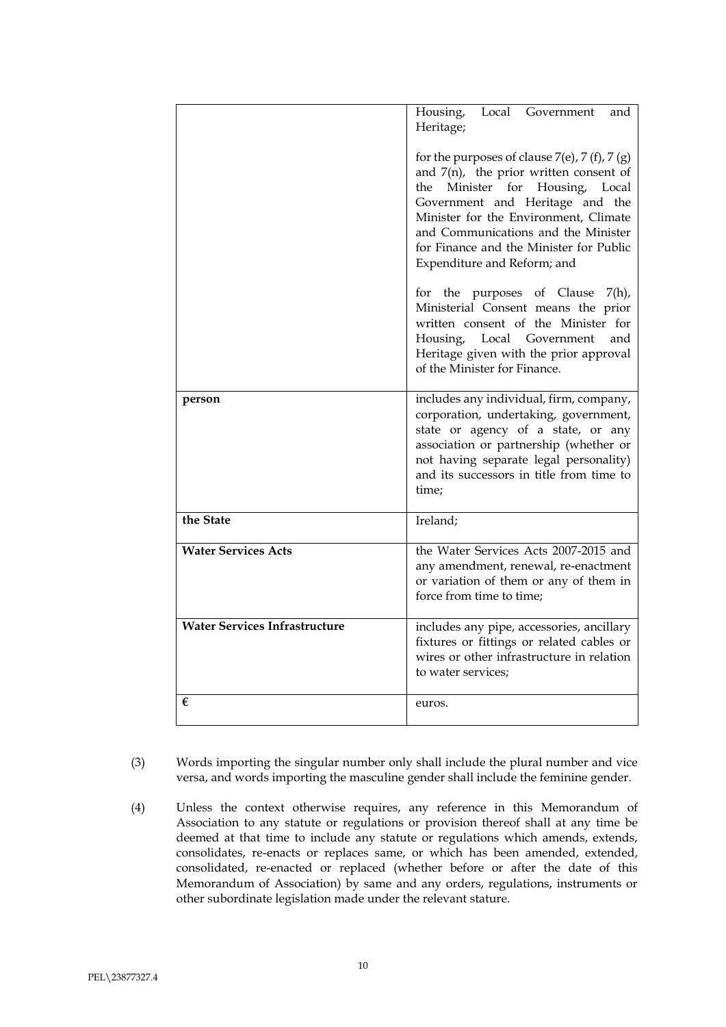|                                      | Housing, Local Government<br>and<br>Heritage;                                                                                                                                                                                                                                                                                    |
|--------------------------------------|----------------------------------------------------------------------------------------------------------------------------------------------------------------------------------------------------------------------------------------------------------------------------------------------------------------------------------|
|                                      | for the purposes of clause $7(e)$ , $7(f)$ , $7(g)$<br>and $7(n)$ , the prior written consent of<br>the Minister for Housing, Local<br>Government and Heritage and the<br>Minister for the Environment, Climate<br>and Communications and the Minister<br>for Finance and the Minister for Public<br>Expenditure and Reform; and |
|                                      | for the purposes of Clause<br>$7(h)$ ,<br>Ministerial Consent means the prior<br>written consent of the Minister for<br>Housing, Local Government<br>and<br>Heritage given with the prior approval<br>of the Minister for Finance.                                                                                               |
| person                               | includes any individual, firm, company,<br>corporation, undertaking, government,<br>state or agency of a state, or any<br>association or partnership (whether or<br>not having separate legal personality)<br>and its successors in title from time to<br>time;                                                                  |
| the State                            | Ireland;                                                                                                                                                                                                                                                                                                                         |
| <b>Water Services Acts</b>           | the Water Services Acts 2007-2015 and<br>any amendment, renewal, re-enactment<br>or variation of them or any of them in<br>force from time to time;                                                                                                                                                                              |
| <b>Water Services Infrastructure</b> | includes any pipe, accessories, ancillary<br>fixtures or fittings or related cables or<br>wires or other infrastructure in relation<br>to water services:                                                                                                                                                                        |
| €                                    | euros.                                                                                                                                                                                                                                                                                                                           |

- (3) Words importing the singular number only shall include the plural number and vice versa, and words importing the masculine gender shall include the feminine gender.
- (4) Unless the context otherwise requires, any reference in this Memorandum of Association to any statute or regulations or provision thereof shall at any time be deemed at that time to include any statute or regulations which amends, extends, consolidates, re-enacts or replaces same, or which has been amended, extended, consolidated, re-enacted or replaced (whether before or after the date of this Memorandum of Association) by same and any orders, regulations, instruments or other subordinate legislation made under the relevant stature.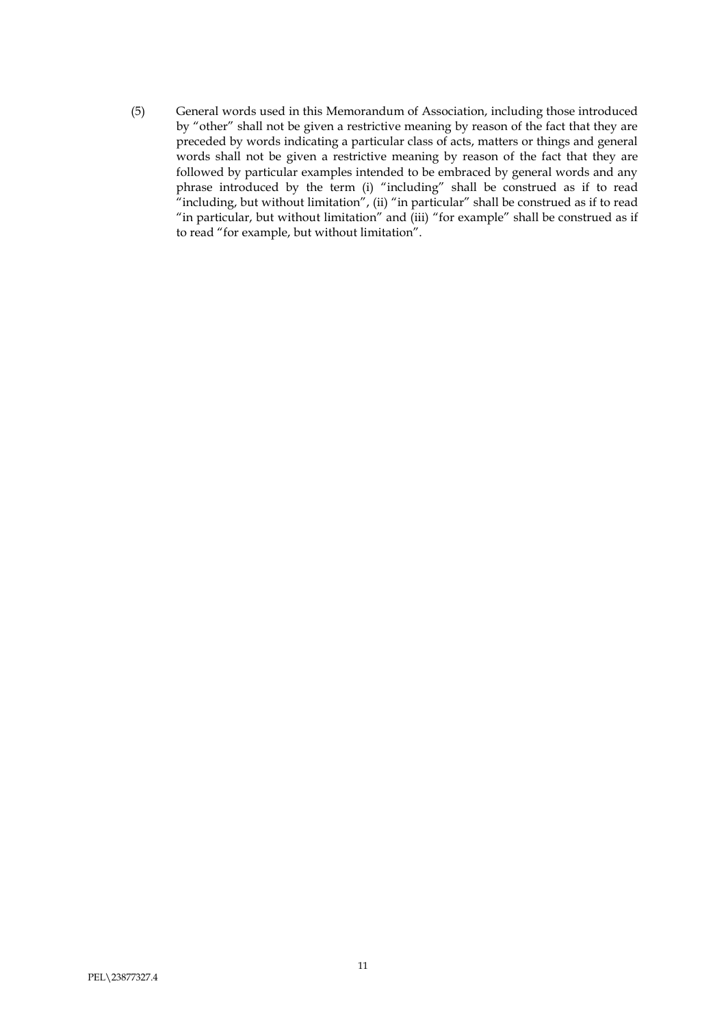(5) General words used in this Memorandum of Association, including those introduced by "other" shall not be given a restrictive meaning by reason of the fact that they are preceded by words indicating a particular class of acts, matters or things and general words shall not be given a restrictive meaning by reason of the fact that they are followed by particular examples intended to be embraced by general words and any phrase introduced by the term (i) "including" shall be construed as if to read "including, but without limitation", (ii) "in particular" shall be construed as if to read "in particular, but without limitation" and (iii) "for example" shall be construed as if to read "for example, but without limitation".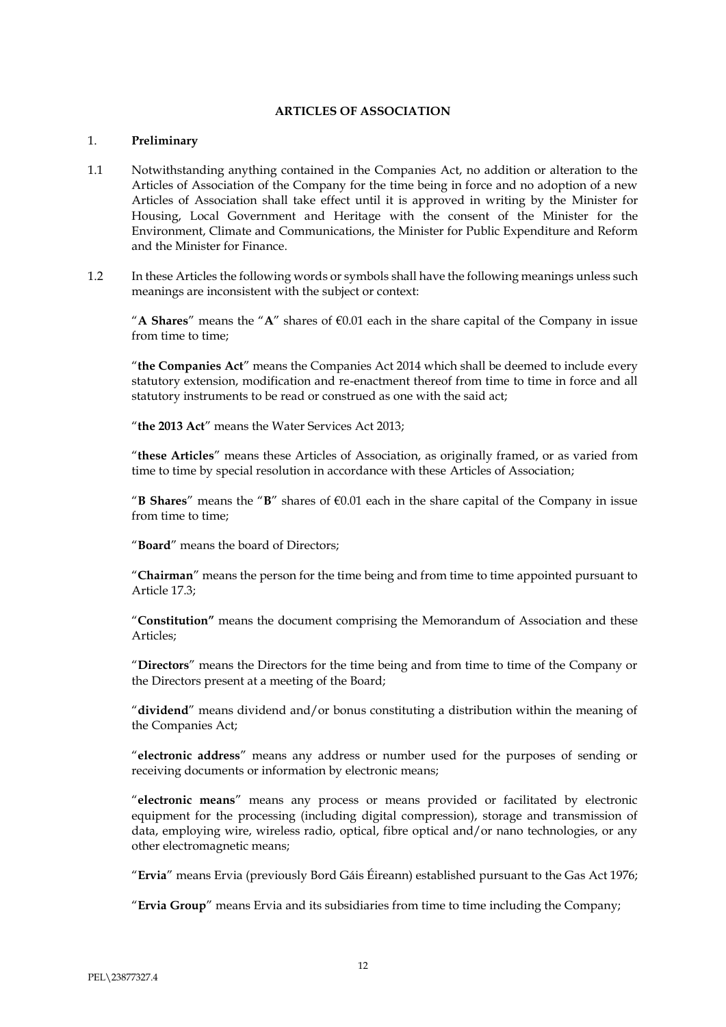### **ARTICLES OF ASSOCIATION**

#### 1. **Preliminary**

- 1.1 Notwithstanding anything contained in the Companies Act, no addition or alteration to the Articles of Association of the Company for the time being in force and no adoption of a new Articles of Association shall take effect until it is approved in writing by the Minister for Housing, Local Government and Heritage with the consent of the Minister for the Environment, Climate and Communications, the Minister for Public Expenditure and Reform and the Minister for Finance.
- 1.2 In these Articles the following words or symbols shall have the following meanings unless such meanings are inconsistent with the subject or context:

"A **Shares**" means the "A" shares of  $\epsilon$ 0.01 each in the share capital of the Company in issue from time to time;

"**the Companies Act**" means the Companies Act 2014 which shall be deemed to include every statutory extension, modification and re-enactment thereof from time to time in force and all statutory instruments to be read or construed as one with the said act;

"**the 2013 Act**" means the Water Services Act 2013;

"**these Articles**" means these Articles of Association, as originally framed, or as varied from time to time by special resolution in accordance with these Articles of Association;

"**B Shares**" means the "**B**" shares of  $\epsilon$ 0.01 each in the share capital of the Company in issue from time to time;

"**Board**" means the board of Directors;

"**Chairman**" means the person for the time being and from time to time appointed pursuant to Article 17.3;

"**Constitution"** means the document comprising the Memorandum of Association and these Articles;

"**Directors**" means the Directors for the time being and from time to time of the Company or the Directors present at a meeting of the Board;

"**dividend**" means dividend and/or bonus constituting a distribution within the meaning of the Companies Act;

"**electronic address**" means any address or number used for the purposes of sending or receiving documents or information by electronic means;

"**electronic means**" means any process or means provided or facilitated by electronic equipment for the processing (including digital compression), storage and transmission of data, employing wire, wireless radio, optical, fibre optical and/or nano technologies, or any other electromagnetic means;

"**Ervia**" means Ervia (previously Bord Gáis Éireann) established pursuant to the Gas Act 1976;

"**Ervia Group**" means Ervia and its subsidiaries from time to time including the Company;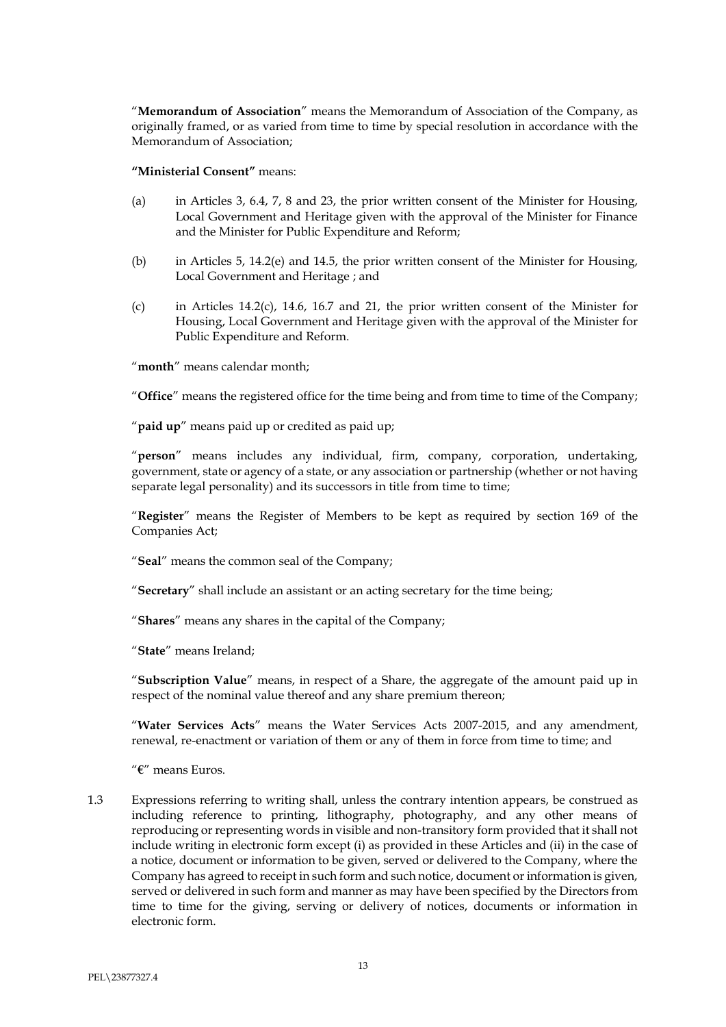"**Memorandum of Association**" means the Memorandum of Association of the Company, as originally framed, or as varied from time to time by special resolution in accordance with the Memorandum of Association;

#### **"Ministerial Consent"** means:

- (a) in Articles 3, 6.4, 7, 8 and 23, the prior written consent of the Minister for Housing, Local Government and Heritage given with the approval of the Minister for Finance and the Minister for Public Expenditure and Reform;
- (b) in Articles 5, 14.2(e) and 14.5, the prior written consent of the Minister for Housing, Local Government and Heritage ; and
- (c) in Articles 14.2(c), 14.6, 16.7 and 21, the prior written consent of the Minister for Housing, Local Government and Heritage given with the approval of the Minister for Public Expenditure and Reform.

"**month**" means calendar month;

"**Office**" means the registered office for the time being and from time to time of the Company;

"**paid up**" means paid up or credited as paid up;

"**person**" means includes any individual, firm, company, corporation, undertaking, government, state or agency of a state, or any association or partnership (whether or not having separate legal personality) and its successors in title from time to time;

"**Register**" means the Register of Members to be kept as required by section 169 of the Companies Act;

"**Seal**" means the common seal of the Company;

"**Secretary**" shall include an assistant or an acting secretary for the time being;

"**Shares**" means any shares in the capital of the Company;

"**State**" means Ireland;

"**Subscription Value**" means, in respect of a Share, the aggregate of the amount paid up in respect of the nominal value thereof and any share premium thereon;

"**Water Services Acts**" means the Water Services Acts 2007-2015, and any amendment, renewal, re-enactment or variation of them or any of them in force from time to time; and

"**€**" means Euros.

1.3 Expressions referring to writing shall, unless the contrary intention appears, be construed as including reference to printing, lithography, photography, and any other means of reproducing or representing words in visible and non-transitory form provided that it shall not include writing in electronic form except (i) as provided in these Articles and (ii) in the case of a notice, document or information to be given, served or delivered to the Company, where the Company has agreed to receipt in such form and such notice, document or information is given, served or delivered in such form and manner as may have been specified by the Directors from time to time for the giving, serving or delivery of notices, documents or information in electronic form.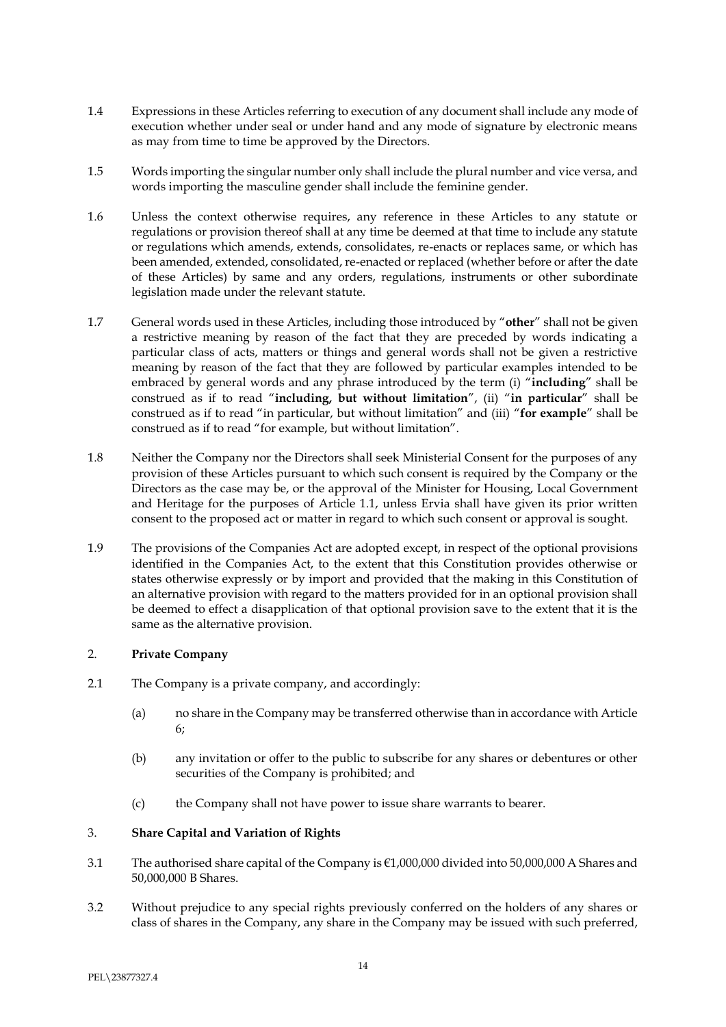- 1.4 Expressions in these Articles referring to execution of any document shall include any mode of execution whether under seal or under hand and any mode of signature by electronic means as may from time to time be approved by the Directors.
- 1.5 Words importing the singular number only shall include the plural number and vice versa, and words importing the masculine gender shall include the feminine gender.
- 1.6 Unless the context otherwise requires, any reference in these Articles to any statute or regulations or provision thereof shall at any time be deemed at that time to include any statute or regulations which amends, extends, consolidates, re-enacts or replaces same, or which has been amended, extended, consolidated, re-enacted or replaced (whether before or after the date of these Articles) by same and any orders, regulations, instruments or other subordinate legislation made under the relevant statute.
- 1.7 General words used in these Articles, including those introduced by "**other**" shall not be given a restrictive meaning by reason of the fact that they are preceded by words indicating a particular class of acts, matters or things and general words shall not be given a restrictive meaning by reason of the fact that they are followed by particular examples intended to be embraced by general words and any phrase introduced by the term (i) "**including**" shall be construed as if to read "**including, but without limitation**", (ii) "**in particular**" shall be construed as if to read "in particular, but without limitation" and (iii) "**for example**" shall be construed as if to read "for example, but without limitation".
- 1.8 Neither the Company nor the Directors shall seek Ministerial Consent for the purposes of any provision of these Articles pursuant to which such consent is required by the Company or the Directors as the case may be, or the approval of the Minister for Housing, Local Government and Heritage for the purposes of Article 1.1, unless Ervia shall have given its prior written consent to the proposed act or matter in regard to which such consent or approval is sought.
- 1.9 The provisions of the Companies Act are adopted except, in respect of the optional provisions identified in the Companies Act, to the extent that this Constitution provides otherwise or states otherwise expressly or by import and provided that the making in this Constitution of an alternative provision with regard to the matters provided for in an optional provision shall be deemed to effect a disapplication of that optional provision save to the extent that it is the same as the alternative provision.

## 2. **Private Company**

- 2.1 The Company is a private company, and accordingly:
	- (a) no share in the Company may be transferred otherwise than in accordance with Article 6;
	- (b) any invitation or offer to the public to subscribe for any shares or debentures or other securities of the Company is prohibited; and
	- (c) the Company shall not have power to issue share warrants to bearer.

# 3. **Share Capital and Variation of Rights**

- 3.1 The authorised share capital of the Company is €1,000,000 divided into 50,000,000 A Shares and 50,000,000 B Shares.
- 3.2 Without prejudice to any special rights previously conferred on the holders of any shares or class of shares in the Company, any share in the Company may be issued with such preferred,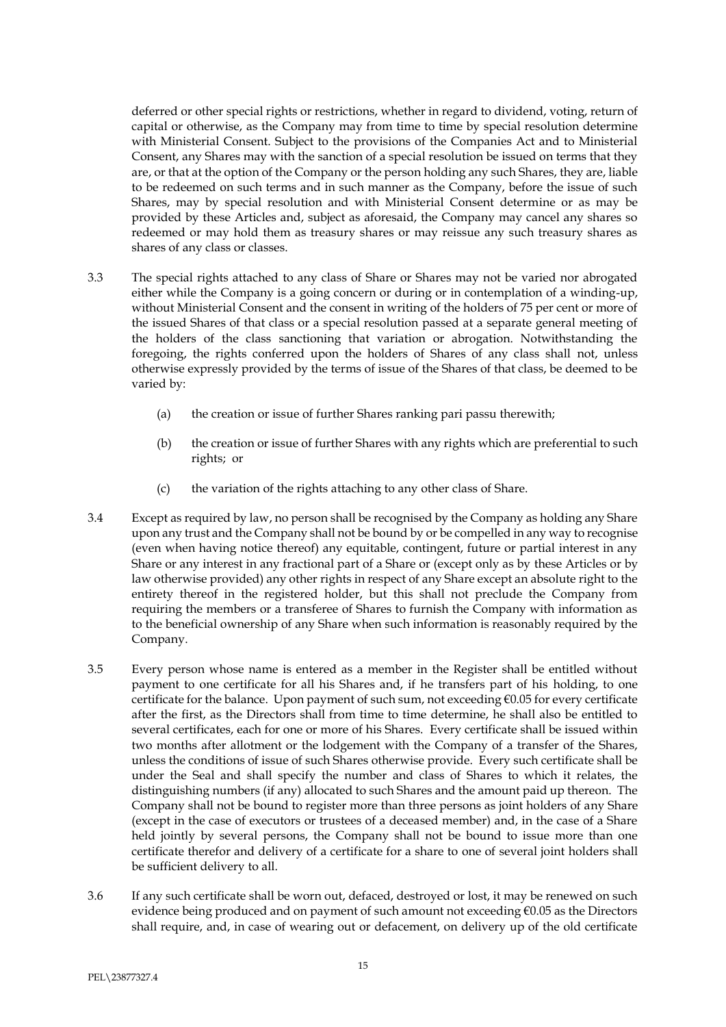deferred or other special rights or restrictions, whether in regard to dividend, voting, return of capital or otherwise, as the Company may from time to time by special resolution determine with Ministerial Consent. Subject to the provisions of the Companies Act and to Ministerial Consent, any Shares may with the sanction of a special resolution be issued on terms that they are, or that at the option of the Company or the person holding any such Shares, they are, liable to be redeemed on such terms and in such manner as the Company, before the issue of such Shares, may by special resolution and with Ministerial Consent determine or as may be provided by these Articles and, subject as aforesaid, the Company may cancel any shares so redeemed or may hold them as treasury shares or may reissue any such treasury shares as shares of any class or classes.

- 3.3 The special rights attached to any class of Share or Shares may not be varied nor abrogated either while the Company is a going concern or during or in contemplation of a winding-up, without Ministerial Consent and the consent in writing of the holders of 75 per cent or more of the issued Shares of that class or a special resolution passed at a separate general meeting of the holders of the class sanctioning that variation or abrogation. Notwithstanding the foregoing, the rights conferred upon the holders of Shares of any class shall not, unless otherwise expressly provided by the terms of issue of the Shares of that class, be deemed to be varied by:
	- (a) the creation or issue of further Shares ranking pari passu therewith;
	- (b) the creation or issue of further Shares with any rights which are preferential to such rights; or
	- (c) the variation of the rights attaching to any other class of Share.
- 3.4 Except as required by law, no person shall be recognised by the Company as holding any Share upon any trust and the Company shall not be bound by or be compelled in any way to recognise (even when having notice thereof) any equitable, contingent, future or partial interest in any Share or any interest in any fractional part of a Share or (except only as by these Articles or by law otherwise provided) any other rights in respect of any Share except an absolute right to the entirety thereof in the registered holder, but this shall not preclude the Company from requiring the members or a transferee of Shares to furnish the Company with information as to the beneficial ownership of any Share when such information is reasonably required by the Company.
- 3.5 Every person whose name is entered as a member in the Register shall be entitled without payment to one certificate for all his Shares and, if he transfers part of his holding, to one certificate for the balance. Upon payment of such sum, not exceeding €0.05 for every certificate after the first, as the Directors shall from time to time determine, he shall also be entitled to several certificates, each for one or more of his Shares. Every certificate shall be issued within two months after allotment or the lodgement with the Company of a transfer of the Shares, unless the conditions of issue of such Shares otherwise provide. Every such certificate shall be under the Seal and shall specify the number and class of Shares to which it relates, the distinguishing numbers (if any) allocated to such Shares and the amount paid up thereon. The Company shall not be bound to register more than three persons as joint holders of any Share (except in the case of executors or trustees of a deceased member) and, in the case of a Share held jointly by several persons, the Company shall not be bound to issue more than one certificate therefor and delivery of a certificate for a share to one of several joint holders shall be sufficient delivery to all.
- 3.6 If any such certificate shall be worn out, defaced, destroyed or lost, it may be renewed on such evidence being produced and on payment of such amount not exceeding €0.05 as the Directors shall require, and, in case of wearing out or defacement, on delivery up of the old certificate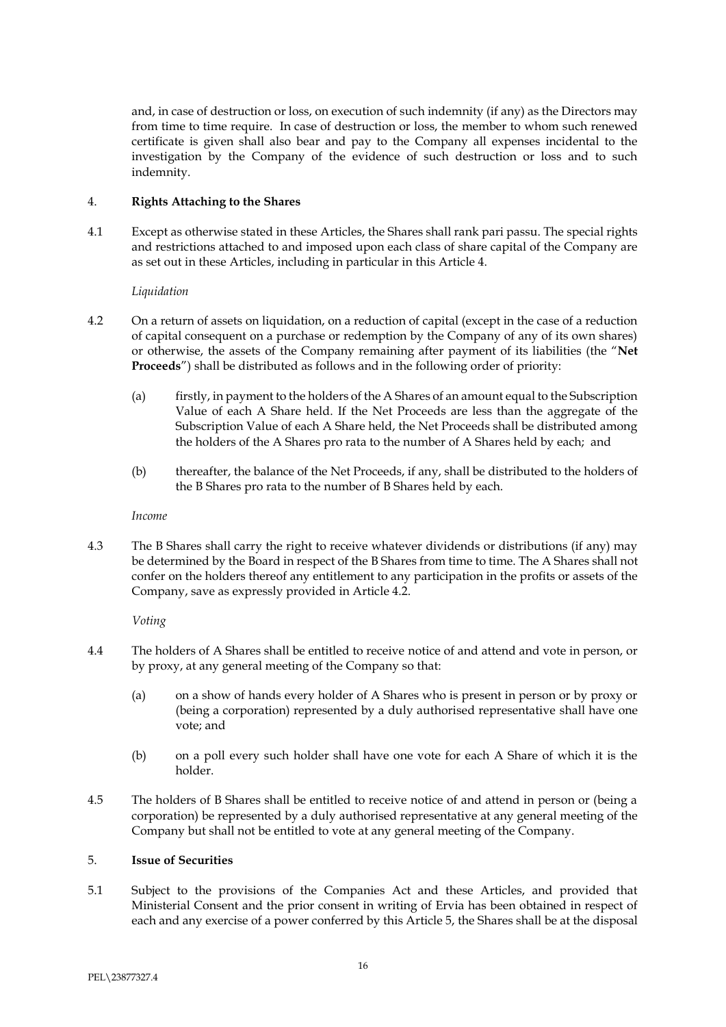and, in case of destruction or loss, on execution of such indemnity (if any) as the Directors may from time to time require. In case of destruction or loss, the member to whom such renewed certificate is given shall also bear and pay to the Company all expenses incidental to the investigation by the Company of the evidence of such destruction or loss and to such indemnity.

## 4. **Rights Attaching to the Shares**

4.1 Except as otherwise stated in these Articles, the Shares shall rank pari passu. The special rights and restrictions attached to and imposed upon each class of share capital of the Company are as set out in these Articles, including in particular in this Article 4.

*Liquidation*

- 4.2 On a return of assets on liquidation, on a reduction of capital (except in the case of a reduction of capital consequent on a purchase or redemption by the Company of any of its own shares) or otherwise, the assets of the Company remaining after payment of its liabilities (the "**Net Proceeds**") shall be distributed as follows and in the following order of priority:
	- (a) firstly, in payment to the holders of the A Shares of an amount equal to the Subscription Value of each A Share held. If the Net Proceeds are less than the aggregate of the Subscription Value of each A Share held, the Net Proceeds shall be distributed among the holders of the A Shares pro rata to the number of A Shares held by each; and
	- (b) thereafter, the balance of the Net Proceeds, if any, shall be distributed to the holders of the B Shares pro rata to the number of B Shares held by each.

*Income*

4.3 The B Shares shall carry the right to receive whatever dividends or distributions (if any) may be determined by the Board in respect of the B Shares from time to time. The A Shares shall not confer on the holders thereof any entitlement to any participation in the profits or assets of the Company, save as expressly provided in Article 4.2.

*Voting*

- 4.4 The holders of A Shares shall be entitled to receive notice of and attend and vote in person, or by proxy, at any general meeting of the Company so that:
	- (a) on a show of hands every holder of A Shares who is present in person or by proxy or (being a corporation) represented by a duly authorised representative shall have one vote; and
	- (b) on a poll every such holder shall have one vote for each A Share of which it is the holder.
- 4.5 The holders of B Shares shall be entitled to receive notice of and attend in person or (being a corporation) be represented by a duly authorised representative at any general meeting of the Company but shall not be entitled to vote at any general meeting of the Company.

#### 5. **Issue of Securities**

5.1 Subject to the provisions of the Companies Act and these Articles, and provided that Ministerial Consent and the prior consent in writing of Ervia has been obtained in respect of each and any exercise of a power conferred by this Article 5, the Shares shall be at the disposal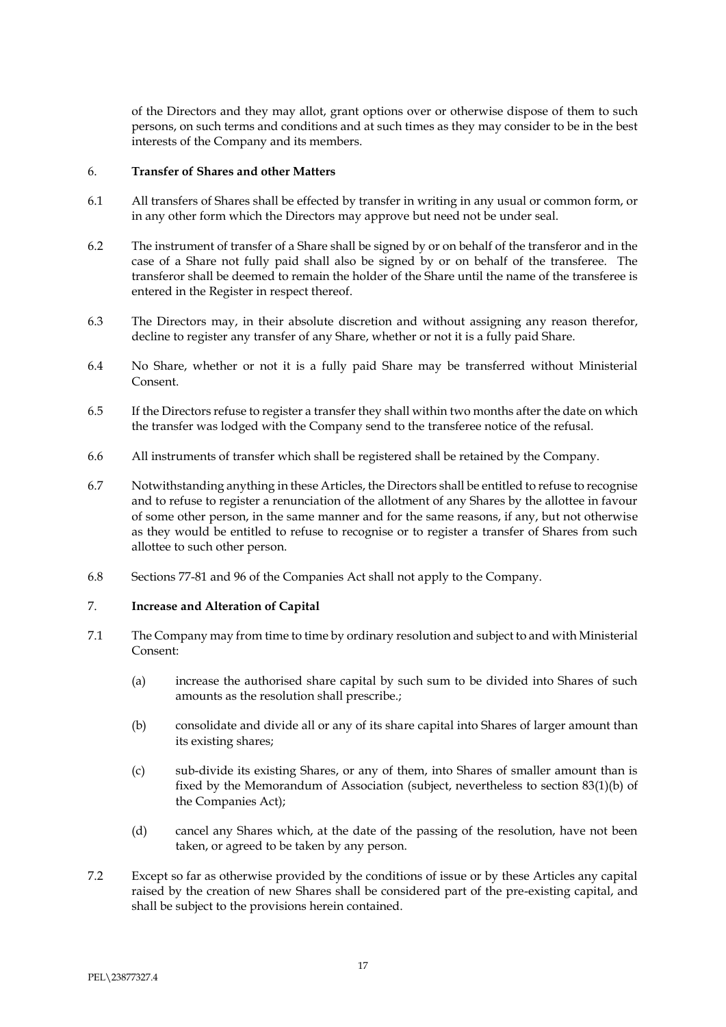of the Directors and they may allot, grant options over or otherwise dispose of them to such persons, on such terms and conditions and at such times as they may consider to be in the best interests of the Company and its members.

#### 6. **Transfer of Shares and other Matters**

- 6.1 All transfers of Shares shall be effected by transfer in writing in any usual or common form, or in any other form which the Directors may approve but need not be under seal.
- 6.2 The instrument of transfer of a Share shall be signed by or on behalf of the transferor and in the case of a Share not fully paid shall also be signed by or on behalf of the transferee. The transferor shall be deemed to remain the holder of the Share until the name of the transferee is entered in the Register in respect thereof.
- 6.3 The Directors may, in their absolute discretion and without assigning any reason therefor, decline to register any transfer of any Share, whether or not it is a fully paid Share.
- 6.4 No Share, whether or not it is a fully paid Share may be transferred without Ministerial Consent.
- 6.5 If the Directors refuse to register a transfer they shall within two months after the date on which the transfer was lodged with the Company send to the transferee notice of the refusal.
- 6.6 All instruments of transfer which shall be registered shall be retained by the Company.
- 6.7 Notwithstanding anything in these Articles, the Directors shall be entitled to refuse to recognise and to refuse to register a renunciation of the allotment of any Shares by the allottee in favour of some other person, in the same manner and for the same reasons, if any, but not otherwise as they would be entitled to refuse to recognise or to register a transfer of Shares from such allottee to such other person.
- 6.8 Sections 77-81 and 96 of the Companies Act shall not apply to the Company.

## 7. **Increase and Alteration of Capital**

- 7.1 The Company may from time to time by ordinary resolution and subject to and with Ministerial Consent:
	- (a) increase the authorised share capital by such sum to be divided into Shares of such amounts as the resolution shall prescribe.;
	- (b) consolidate and divide all or any of its share capital into Shares of larger amount than its existing shares;
	- (c) sub-divide its existing Shares, or any of them, into Shares of smaller amount than is fixed by the Memorandum of Association (subject, nevertheless to section 83(1)(b) of the Companies Act);
	- (d) cancel any Shares which, at the date of the passing of the resolution, have not been taken, or agreed to be taken by any person.
- 7.2 Except so far as otherwise provided by the conditions of issue or by these Articles any capital raised by the creation of new Shares shall be considered part of the pre-existing capital, and shall be subject to the provisions herein contained.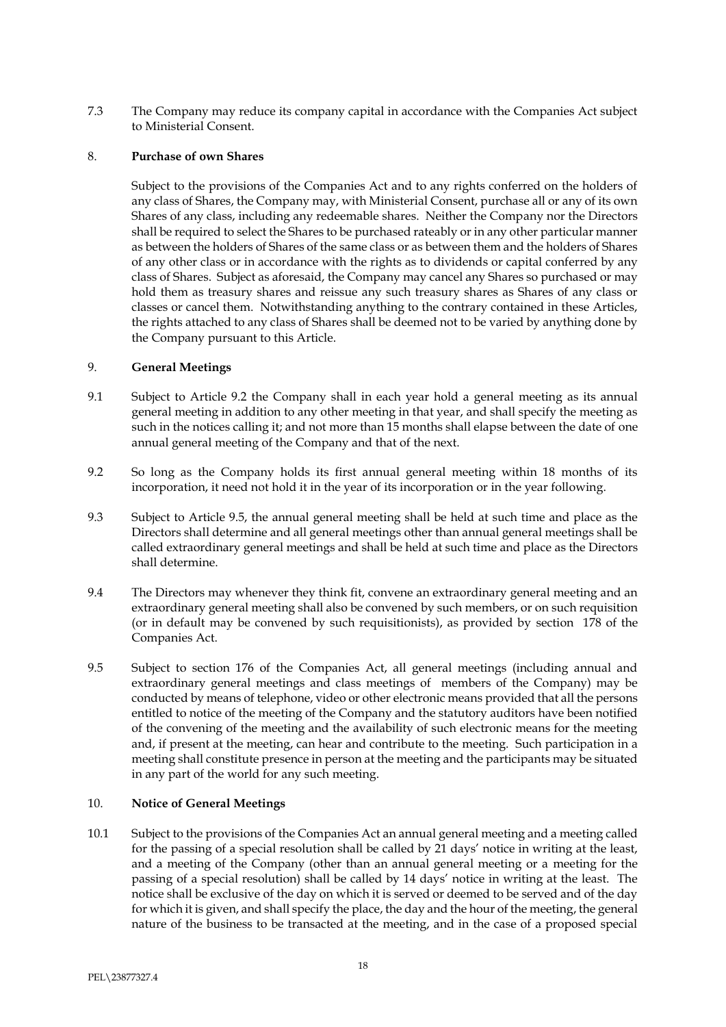7.3 The Company may reduce its company capital in accordance with the Companies Act subject to Ministerial Consent.

### 8. **Purchase of own Shares**

Subject to the provisions of the Companies Act and to any rights conferred on the holders of any class of Shares, the Company may, with Ministerial Consent, purchase all or any of its own Shares of any class, including any redeemable shares. Neither the Company nor the Directors shall be required to select the Shares to be purchased rateably or in any other particular manner as between the holders of Shares of the same class or as between them and the holders of Shares of any other class or in accordance with the rights as to dividends or capital conferred by any class of Shares. Subject as aforesaid, the Company may cancel any Shares so purchased or may hold them as treasury shares and reissue any such treasury shares as Shares of any class or classes or cancel them. Notwithstanding anything to the contrary contained in these Articles, the rights attached to any class of Shares shall be deemed not to be varied by anything done by the Company pursuant to this Article.

### 9. **General Meetings**

- 9.1 Subject to Article 9.2 the Company shall in each year hold a general meeting as its annual general meeting in addition to any other meeting in that year, and shall specify the meeting as such in the notices calling it; and not more than 15 months shall elapse between the date of one annual general meeting of the Company and that of the next.
- 9.2 So long as the Company holds its first annual general meeting within 18 months of its incorporation, it need not hold it in the year of its incorporation or in the year following.
- 9.3 Subject to Article 9.5, the annual general meeting shall be held at such time and place as the Directors shall determine and all general meetings other than annual general meetings shall be called extraordinary general meetings and shall be held at such time and place as the Directors shall determine.
- 9.4 The Directors may whenever they think fit, convene an extraordinary general meeting and an extraordinary general meeting shall also be convened by such members, or on such requisition (or in default may be convened by such requisitionists), as provided by section 178 of the Companies Act.
- 9.5 Subject to section 176 of the Companies Act, all general meetings (including annual and extraordinary general meetings and class meetings of members of the Company) may be conducted by means of telephone, video or other electronic means provided that all the persons entitled to notice of the meeting of the Company and the statutory auditors have been notified of the convening of the meeting and the availability of such electronic means for the meeting and, if present at the meeting, can hear and contribute to the meeting. Such participation in a meeting shall constitute presence in person at the meeting and the participants may be situated in any part of the world for any such meeting.

## 10. **Notice of General Meetings**

10.1 Subject to the provisions of the Companies Act an annual general meeting and a meeting called for the passing of a special resolution shall be called by 21 days' notice in writing at the least, and a meeting of the Company (other than an annual general meeting or a meeting for the passing of a special resolution) shall be called by 14 days' notice in writing at the least. The notice shall be exclusive of the day on which it is served or deemed to be served and of the day for which it is given, and shall specify the place, the day and the hour of the meeting, the general nature of the business to be transacted at the meeting, and in the case of a proposed special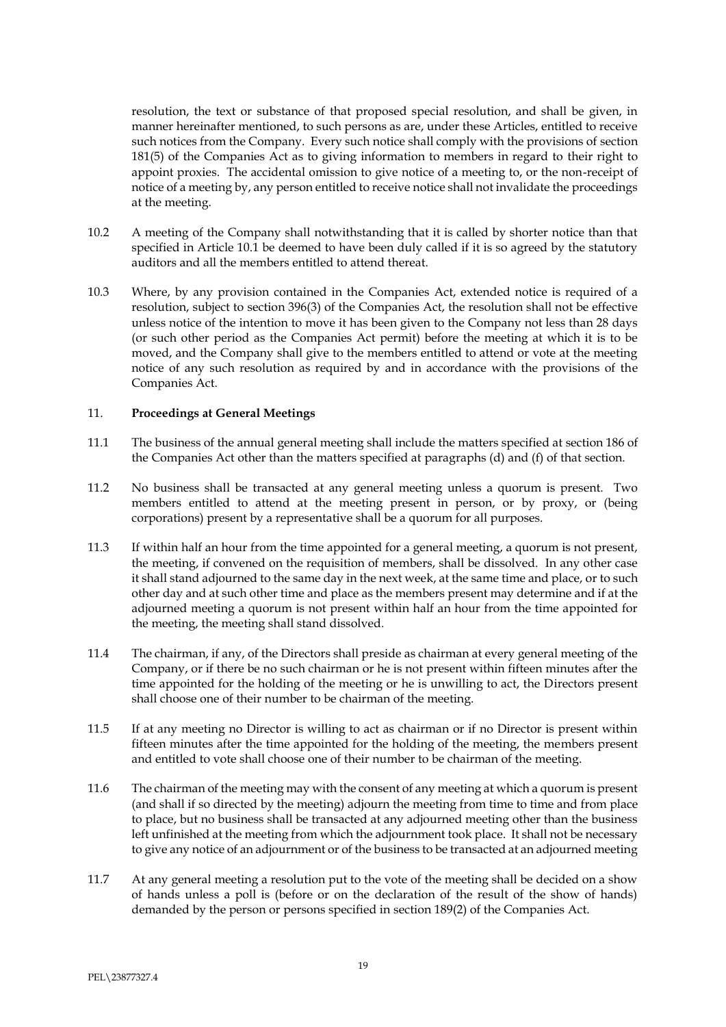resolution, the text or substance of that proposed special resolution, and shall be given, in manner hereinafter mentioned, to such persons as are, under these Articles, entitled to receive such notices from the Company. Every such notice shall comply with the provisions of section 181(5) of the Companies Act as to giving information to members in regard to their right to appoint proxies. The accidental omission to give notice of a meeting to, or the non-receipt of notice of a meeting by, any person entitled to receive notice shall not invalidate the proceedings at the meeting.

- 10.2 A meeting of the Company shall notwithstanding that it is called by shorter notice than that specified in Article 10.1 be deemed to have been duly called if it is so agreed by the statutory auditors and all the members entitled to attend thereat.
- 10.3 Where, by any provision contained in the Companies Act, extended notice is required of a resolution, subject to section 396(3) of the Companies Act, the resolution shall not be effective unless notice of the intention to move it has been given to the Company not less than 28 days (or such other period as the Companies Act permit) before the meeting at which it is to be moved, and the Company shall give to the members entitled to attend or vote at the meeting notice of any such resolution as required by and in accordance with the provisions of the Companies Act.

### 11. **Proceedings at General Meetings**

- 11.1 The business of the annual general meeting shall include the matters specified at section 186 of the Companies Act other than the matters specified at paragraphs (d) and (f) of that section.
- 11.2 No business shall be transacted at any general meeting unless a quorum is present. Two members entitled to attend at the meeting present in person, or by proxy, or (being corporations) present by a representative shall be a quorum for all purposes.
- 11.3 If within half an hour from the time appointed for a general meeting, a quorum is not present, the meeting, if convened on the requisition of members, shall be dissolved. In any other case it shall stand adjourned to the same day in the next week, at the same time and place, or to such other day and at such other time and place as the members present may determine and if at the adjourned meeting a quorum is not present within half an hour from the time appointed for the meeting, the meeting shall stand dissolved.
- 11.4 The chairman, if any, of the Directors shall preside as chairman at every general meeting of the Company, or if there be no such chairman or he is not present within fifteen minutes after the time appointed for the holding of the meeting or he is unwilling to act, the Directors present shall choose one of their number to be chairman of the meeting.
- 11.5 If at any meeting no Director is willing to act as chairman or if no Director is present within fifteen minutes after the time appointed for the holding of the meeting, the members present and entitled to vote shall choose one of their number to be chairman of the meeting.
- 11.6 The chairman of the meeting may with the consent of any meeting at which a quorum is present (and shall if so directed by the meeting) adjourn the meeting from time to time and from place to place, but no business shall be transacted at any adjourned meeting other than the business left unfinished at the meeting from which the adjournment took place. It shall not be necessary to give any notice of an adjournment or of the business to be transacted at an adjourned meeting
- 11.7 At any general meeting a resolution put to the vote of the meeting shall be decided on a show of hands unless a poll is (before or on the declaration of the result of the show of hands) demanded by the person or persons specified in section 189(2) of the Companies Act.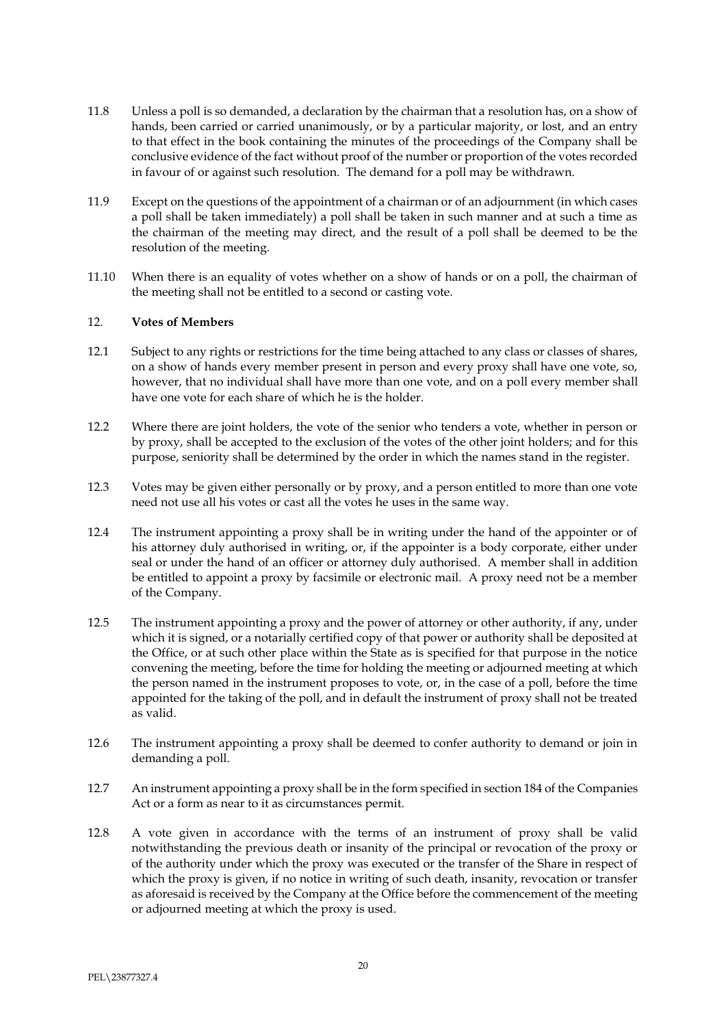- 11.8 Unless a poll is so demanded, a declaration by the chairman that a resolution has, on a show of hands, been carried or carried unanimously, or by a particular majority, or lost, and an entry to that effect in the book containing the minutes of the proceedings of the Company shall be conclusive evidence of the fact without proof of the number or proportion of the votes recorded in favour of or against such resolution. The demand for a poll may be withdrawn.
- 11.9 Except on the questions of the appointment of a chairman or of an adjournment (in which cases a poll shall be taken immediately) a poll shall be taken in such manner and at such a time as the chairman of the meeting may direct, and the result of a poll shall be deemed to be the resolution of the meeting.
- 11.10 When there is an equality of votes whether on a show of hands or on a poll, the chairman of the meeting shall not be entitled to a second or casting vote.

### 12. **Votes of Members**

- 12.1 Subject to any rights or restrictions for the time being attached to any class or classes of shares, on a show of hands every member present in person and every proxy shall have one vote, so, however, that no individual shall have more than one vote, and on a poll every member shall have one vote for each share of which he is the holder.
- 12.2 Where there are joint holders, the vote of the senior who tenders a vote, whether in person or by proxy, shall be accepted to the exclusion of the votes of the other joint holders; and for this purpose, seniority shall be determined by the order in which the names stand in the register.
- 12.3 Votes may be given either personally or by proxy, and a person entitled to more than one vote need not use all his votes or cast all the votes he uses in the same way.
- 12.4 The instrument appointing a proxy shall be in writing under the hand of the appointer or of his attorney duly authorised in writing, or, if the appointer is a body corporate, either under seal or under the hand of an officer or attorney duly authorised. A member shall in addition be entitled to appoint a proxy by facsimile or electronic mail. A proxy need not be a member of the Company.
- 12.5 The instrument appointing a proxy and the power of attorney or other authority, if any, under which it is signed, or a notarially certified copy of that power or authority shall be deposited at the Office, or at such other place within the State as is specified for that purpose in the notice convening the meeting, before the time for holding the meeting or adjourned meeting at which the person named in the instrument proposes to vote, or, in the case of a poll, before the time appointed for the taking of the poll, and in default the instrument of proxy shall not be treated as valid.
- 12.6 The instrument appointing a proxy shall be deemed to confer authority to demand or join in demanding a poll.
- 12.7 An instrument appointing a proxy shall be in the form specified in section 184 of the Companies Act or a form as near to it as circumstances permit.
- 12.8 A vote given in accordance with the terms of an instrument of proxy shall be valid notwithstanding the previous death or insanity of the principal or revocation of the proxy or of the authority under which the proxy was executed or the transfer of the Share in respect of which the proxy is given, if no notice in writing of such death, insanity, revocation or transfer as aforesaid is received by the Company at the Office before the commencement of the meeting or adjourned meeting at which the proxy is used.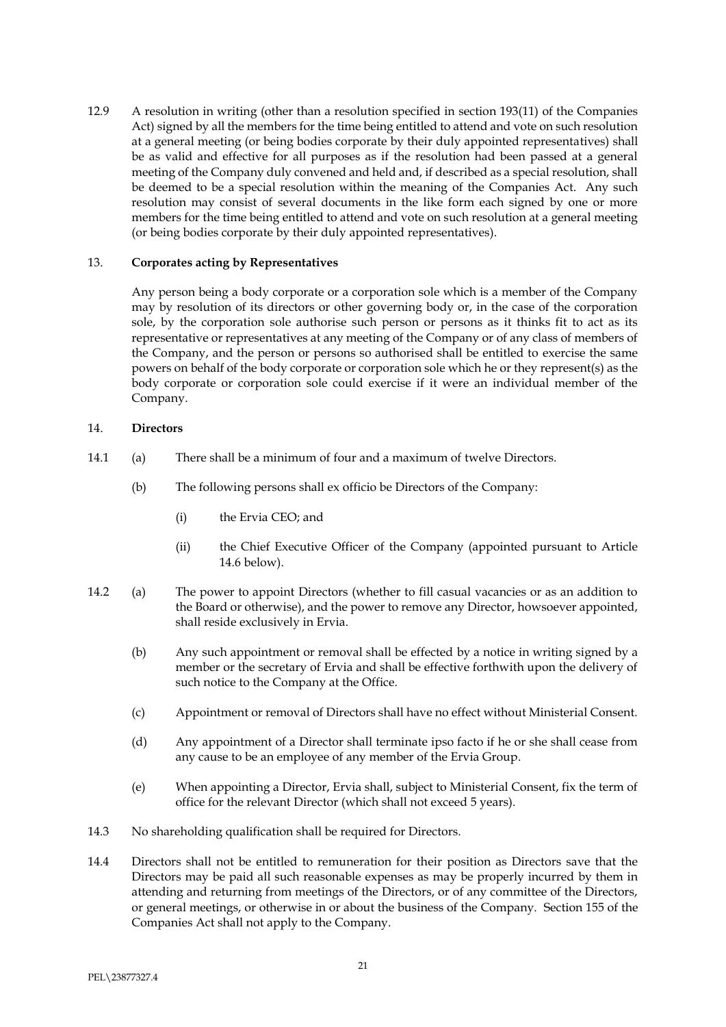12.9 A resolution in writing (other than a resolution specified in section 193(11) of the Companies Act) signed by all the members for the time being entitled to attend and vote on such resolution at a general meeting (or being bodies corporate by their duly appointed representatives) shall be as valid and effective for all purposes as if the resolution had been passed at a general meeting of the Company duly convened and held and, if described as a special resolution, shall be deemed to be a special resolution within the meaning of the Companies Act. Any such resolution may consist of several documents in the like form each signed by one or more members for the time being entitled to attend and vote on such resolution at a general meeting (or being bodies corporate by their duly appointed representatives).

### 13. **Corporates acting by Representatives**

Any person being a body corporate or a corporation sole which is a member of the Company may by resolution of its directors or other governing body or, in the case of the corporation sole, by the corporation sole authorise such person or persons as it thinks fit to act as its representative or representatives at any meeting of the Company or of any class of members of the Company, and the person or persons so authorised shall be entitled to exercise the same powers on behalf of the body corporate or corporation sole which he or they represent(s) as the body corporate or corporation sole could exercise if it were an individual member of the Company.

## 14. **Directors**

- 14.1 (a) There shall be a minimum of four and a maximum of twelve Directors.
	- (b) The following persons shall ex officio be Directors of the Company:
		- (i) the Ervia CEO; and
		- (ii) the Chief Executive Officer of the Company (appointed pursuant to Article [14.6](#page-22-0) below).
- 14.2 (a) The power to appoint Directors (whether to fill casual vacancies or as an addition to the Board or otherwise), and the power to remove any Director, howsoever appointed, shall reside exclusively in Ervia.
	- (b) Any such appointment or removal shall be effected by a notice in writing signed by a member or the secretary of Ervia and shall be effective forthwith upon the delivery of such notice to the Company at the Office.
	- (c) Appointment or removal of Directors shall have no effect without Ministerial Consent.
	- (d) Any appointment of a Director shall terminate ipso facto if he or she shall cease from any cause to be an employee of any member of the Ervia Group.
	- (e) When appointing a Director, Ervia shall, subject to Ministerial Consent, fix the term of office for the relevant Director (which shall not exceed 5 years).
- 14.3 No shareholding qualification shall be required for Directors.
- 14.4 Directors shall not be entitled to remuneration for their position as Directors save that the Directors may be paid all such reasonable expenses as may be properly incurred by them in attending and returning from meetings of the Directors, or of any committee of the Directors, or general meetings, or otherwise in or about the business of the Company. Section 155 of the Companies Act shall not apply to the Company.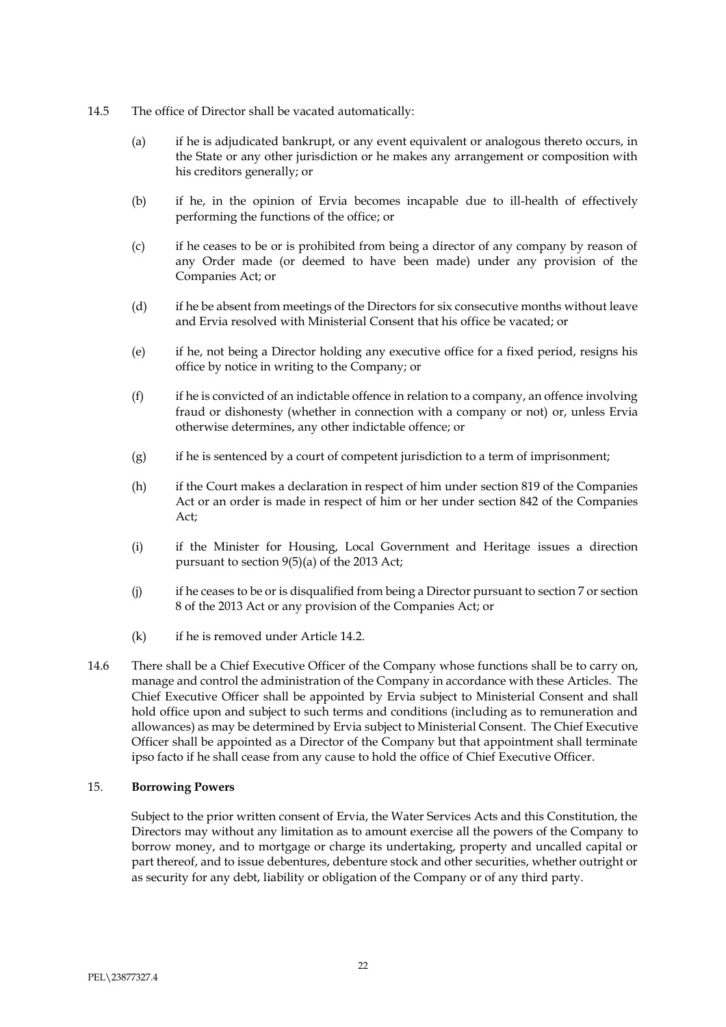- 14.5 The office of Director shall be vacated automatically:
	- (a) if he is adjudicated bankrupt, or any event equivalent or analogous thereto occurs, in the State or any other jurisdiction or he makes any arrangement or composition with his creditors generally; or
	- (b) if he, in the opinion of Ervia becomes incapable due to ill-health of effectively performing the functions of the office; or
	- (c) if he ceases to be or is prohibited from being a director of any company by reason of any Order made (or deemed to have been made) under any provision of the Companies Act; or
	- (d) if he be absent from meetings of the Directors for six consecutive months without leave and Ervia resolved with Ministerial Consent that his office be vacated; or
	- (e) if he, not being a Director holding any executive office for a fixed period, resigns his office by notice in writing to the Company; or
	- (f) if he is convicted of an indictable offence in relation to a company, an offence involving fraud or dishonesty (whether in connection with a company or not) or, unless Ervia otherwise determines, any other indictable offence; or
	- (g) if he is sentenced by a court of competent jurisdiction to a term of imprisonment;
	- (h) if the Court makes a declaration in respect of him under section 819 of the Companies Act or an order is made in respect of him or her under section 842 of the Companies Act;
	- (i) if the Minister for Housing, Local Government and Heritage issues a direction pursuant to section 9(5)(a) of the 2013 Act;
	- (j) if he ceases to be or is disqualified from being a Director pursuant to section 7 or section 8 of the 2013 Act or any provision of the Companies Act; or
	- (k) if he is removed under Article 14.2.
- <span id="page-22-0"></span>14.6 There shall be a Chief Executive Officer of the Company whose functions shall be to carry on, manage and control the administration of the Company in accordance with these Articles. The Chief Executive Officer shall be appointed by Ervia subject to Ministerial Consent and shall hold office upon and subject to such terms and conditions (including as to remuneration and allowances) as may be determined by Ervia subject to Ministerial Consent. The Chief Executive Officer shall be appointed as a Director of the Company but that appointment shall terminate ipso facto if he shall cease from any cause to hold the office of Chief Executive Officer.

#### 15. **Borrowing Powers**

Subject to the prior written consent of Ervia, the Water Services Acts and this Constitution, the Directors may without any limitation as to amount exercise all the powers of the Company to borrow money, and to mortgage or charge its undertaking, property and uncalled capital or part thereof, and to issue debentures, debenture stock and other securities, whether outright or as security for any debt, liability or obligation of the Company or of any third party.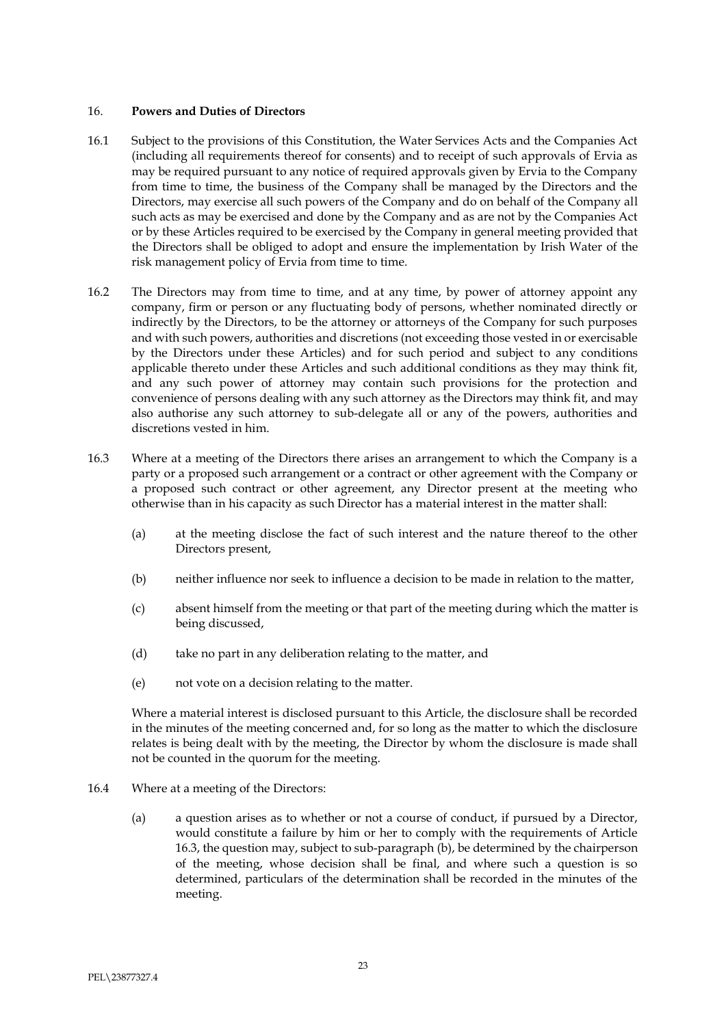### 16. **Powers and Duties of Directors**

- 16.1 Subject to the provisions of this Constitution, the Water Services Acts and the Companies Act (including all requirements thereof for consents) and to receipt of such approvals of Ervia as may be required pursuant to any notice of required approvals given by Ervia to the Company from time to time, the business of the Company shall be managed by the Directors and the Directors, may exercise all such powers of the Company and do on behalf of the Company all such acts as may be exercised and done by the Company and as are not by the Companies Act or by these Articles required to be exercised by the Company in general meeting provided that the Directors shall be obliged to adopt and ensure the implementation by Irish Water of the risk management policy of Ervia from time to time.
- 16.2 The Directors may from time to time, and at any time, by power of attorney appoint any company, firm or person or any fluctuating body of persons, whether nominated directly or indirectly by the Directors, to be the attorney or attorneys of the Company for such purposes and with such powers, authorities and discretions (not exceeding those vested in or exercisable by the Directors under these Articles) and for such period and subject to any conditions applicable thereto under these Articles and such additional conditions as they may think fit, and any such power of attorney may contain such provisions for the protection and convenience of persons dealing with any such attorney as the Directors may think fit, and may also authorise any such attorney to sub-delegate all or any of the powers, authorities and discretions vested in him.
- 16.3 Where at a meeting of the Directors there arises an arrangement to which the Company is a party or a proposed such arrangement or a contract or other agreement with the Company or a proposed such contract or other agreement, any Director present at the meeting who otherwise than in his capacity as such Director has a material interest in the matter shall:
	- (a) at the meeting disclose the fact of such interest and the nature thereof to the other Directors present,
	- (b) neither influence nor seek to influence a decision to be made in relation to the matter,
	- (c) absent himself from the meeting or that part of the meeting during which the matter is being discussed,
	- (d) take no part in any deliberation relating to the matter, and
	- (e) not vote on a decision relating to the matter.

Where a material interest is disclosed pursuant to this Article, the disclosure shall be recorded in the minutes of the meeting concerned and, for so long as the matter to which the disclosure relates is being dealt with by the meeting, the Director by whom the disclosure is made shall not be counted in the quorum for the meeting.

- 16.4 Where at a meeting of the Directors:
	- (a) a question arises as to whether or not a course of conduct, if pursued by a Director, would constitute a failure by him or her to comply with the requirements of Article 16.3, the question may, subject to sub-paragraph (b), be determined by the chairperson of the meeting, whose decision shall be final, and where such a question is so determined, particulars of the determination shall be recorded in the minutes of the meeting.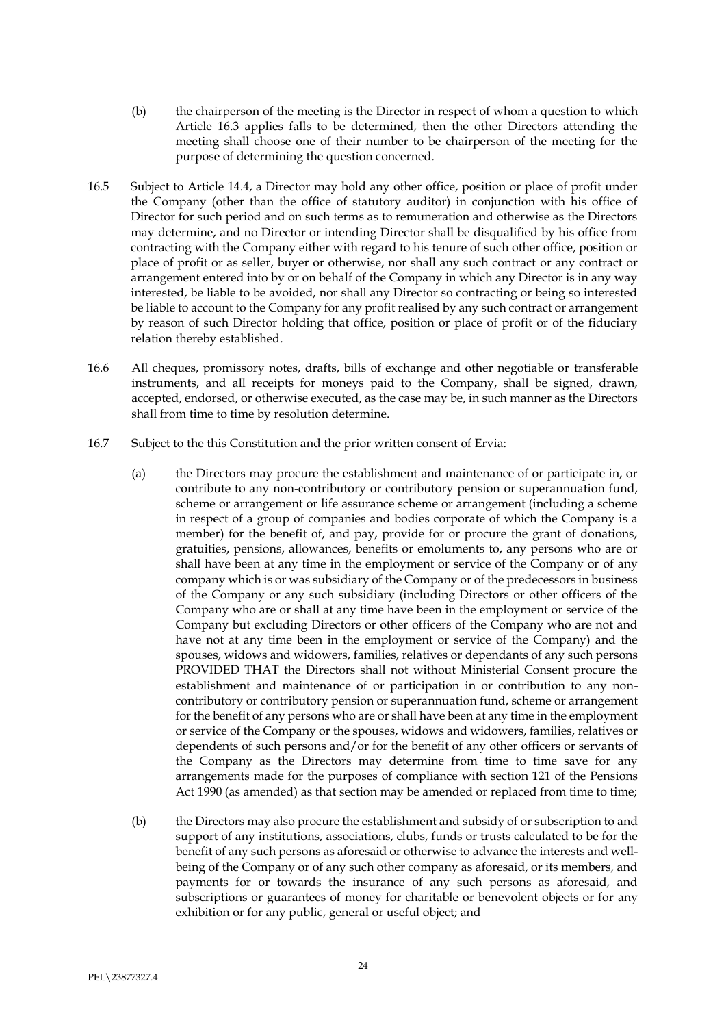- (b) the chairperson of the meeting is the Director in respect of whom a question to which Article 16.3 applies falls to be determined, then the other Directors attending the meeting shall choose one of their number to be chairperson of the meeting for the purpose of determining the question concerned.
- 16.5 Subject to Article 14.4, a Director may hold any other office, position or place of profit under the Company (other than the office of statutory auditor) in conjunction with his office of Director for such period and on such terms as to remuneration and otherwise as the Directors may determine, and no Director or intending Director shall be disqualified by his office from contracting with the Company either with regard to his tenure of such other office, position or place of profit or as seller, buyer or otherwise, nor shall any such contract or any contract or arrangement entered into by or on behalf of the Company in which any Director is in any way interested, be liable to be avoided, nor shall any Director so contracting or being so interested be liable to account to the Company for any profit realised by any such contract or arrangement by reason of such Director holding that office, position or place of profit or of the fiduciary relation thereby established.
- 16.6 All cheques, promissory notes, drafts, bills of exchange and other negotiable or transferable instruments, and all receipts for moneys paid to the Company, shall be signed, drawn, accepted, endorsed, or otherwise executed, as the case may be, in such manner as the Directors shall from time to time by resolution determine.
- 16.7 Subject to the this Constitution and the prior written consent of Ervia:
	- (a) the Directors may procure the establishment and maintenance of or participate in, or contribute to any non-contributory or contributory pension or superannuation fund, scheme or arrangement or life assurance scheme or arrangement (including a scheme in respect of a group of companies and bodies corporate of which the Company is a member) for the benefit of, and pay, provide for or procure the grant of donations, gratuities, pensions, allowances, benefits or emoluments to, any persons who are or shall have been at any time in the employment or service of the Company or of any company which is or was subsidiary of the Company or of the predecessors in business of the Company or any such subsidiary (including Directors or other officers of the Company who are or shall at any time have been in the employment or service of the Company but excluding Directors or other officers of the Company who are not and have not at any time been in the employment or service of the Company) and the spouses, widows and widowers, families, relatives or dependants of any such persons PROVIDED THAT the Directors shall not without Ministerial Consent procure the establishment and maintenance of or participation in or contribution to any noncontributory or contributory pension or superannuation fund, scheme or arrangement for the benefit of any persons who are or shall have been at any time in the employment or service of the Company or the spouses, widows and widowers, families, relatives or dependents of such persons and/or for the benefit of any other officers or servants of the Company as the Directors may determine from time to time save for any arrangements made for the purposes of compliance with section 121 of the Pensions Act 1990 (as amended) as that section may be amended or replaced from time to time;
	- (b) the Directors may also procure the establishment and subsidy of or subscription to and support of any institutions, associations, clubs, funds or trusts calculated to be for the benefit of any such persons as aforesaid or otherwise to advance the interests and wellbeing of the Company or of any such other company as aforesaid, or its members, and payments for or towards the insurance of any such persons as aforesaid, and subscriptions or guarantees of money for charitable or benevolent objects or for any exhibition or for any public, general or useful object; and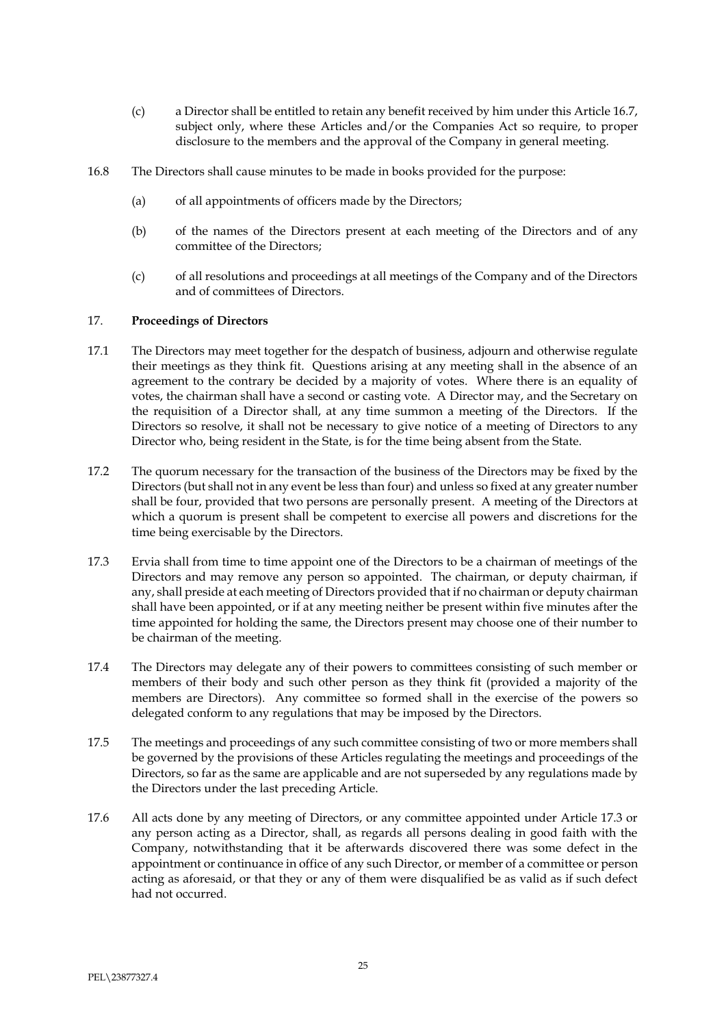- (c) a Director shall be entitled to retain any benefit received by him under this Article 16.7, subject only, where these Articles and/or the Companies Act so require, to proper disclosure to the members and the approval of the Company in general meeting.
- 16.8 The Directors shall cause minutes to be made in books provided for the purpose:
	- (a) of all appointments of officers made by the Directors;
	- (b) of the names of the Directors present at each meeting of the Directors and of any committee of the Directors;
	- (c) of all resolutions and proceedings at all meetings of the Company and of the Directors and of committees of Directors.

#### 17. **Proceedings of Directors**

- 17.1 The Directors may meet together for the despatch of business, adjourn and otherwise regulate their meetings as they think fit. Questions arising at any meeting shall in the absence of an agreement to the contrary be decided by a majority of votes. Where there is an equality of votes, the chairman shall have a second or casting vote. A Director may, and the Secretary on the requisition of a Director shall, at any time summon a meeting of the Directors. If the Directors so resolve, it shall not be necessary to give notice of a meeting of Directors to any Director who, being resident in the State, is for the time being absent from the State.
- 17.2 The quorum necessary for the transaction of the business of the Directors may be fixed by the Directors (but shall not in any event be less than four) and unless so fixed at any greater number shall be four, provided that two persons are personally present. A meeting of the Directors at which a quorum is present shall be competent to exercise all powers and discretions for the time being exercisable by the Directors.
- 17.3 Ervia shall from time to time appoint one of the Directors to be a chairman of meetings of the Directors and may remove any person so appointed. The chairman, or deputy chairman, if any, shall preside at each meeting of Directors provided that if no chairman or deputy chairman shall have been appointed, or if at any meeting neither be present within five minutes after the time appointed for holding the same, the Directors present may choose one of their number to be chairman of the meeting.
- 17.4 The Directors may delegate any of their powers to committees consisting of such member or members of their body and such other person as they think fit (provided a majority of the members are Directors). Any committee so formed shall in the exercise of the powers so delegated conform to any regulations that may be imposed by the Directors.
- 17.5 The meetings and proceedings of any such committee consisting of two or more members shall be governed by the provisions of these Articles regulating the meetings and proceedings of the Directors, so far as the same are applicable and are not superseded by any regulations made by the Directors under the last preceding Article.
- 17.6 All acts done by any meeting of Directors, or any committee appointed under Article 17.3 or any person acting as a Director, shall, as regards all persons dealing in good faith with the Company, notwithstanding that it be afterwards discovered there was some defect in the appointment or continuance in office of any such Director, or member of a committee or person acting as aforesaid, or that they or any of them were disqualified be as valid as if such defect had not occurred.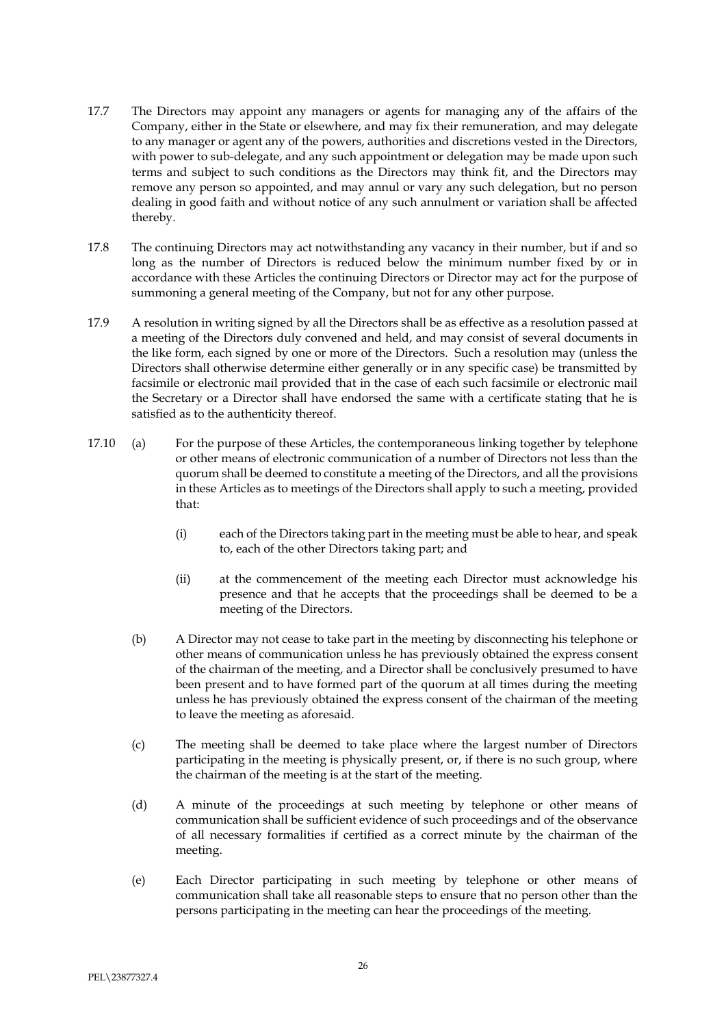- 17.7 The Directors may appoint any managers or agents for managing any of the affairs of the Company, either in the State or elsewhere, and may fix their remuneration, and may delegate to any manager or agent any of the powers, authorities and discretions vested in the Directors, with power to sub-delegate, and any such appointment or delegation may be made upon such terms and subject to such conditions as the Directors may think fit, and the Directors may remove any person so appointed, and may annul or vary any such delegation, but no person dealing in good faith and without notice of any such annulment or variation shall be affected thereby.
- 17.8 The continuing Directors may act notwithstanding any vacancy in their number, but if and so long as the number of Directors is reduced below the minimum number fixed by or in accordance with these Articles the continuing Directors or Director may act for the purpose of summoning a general meeting of the Company, but not for any other purpose.
- 17.9 A resolution in writing signed by all the Directors shall be as effective as a resolution passed at a meeting of the Directors duly convened and held, and may consist of several documents in the like form, each signed by one or more of the Directors. Such a resolution may (unless the Directors shall otherwise determine either generally or in any specific case) be transmitted by facsimile or electronic mail provided that in the case of each such facsimile or electronic mail the Secretary or a Director shall have endorsed the same with a certificate stating that he is satisfied as to the authenticity thereof.
- 17.10 (a) For the purpose of these Articles, the contemporaneous linking together by telephone or other means of electronic communication of a number of Directors not less than the quorum shall be deemed to constitute a meeting of the Directors, and all the provisions in these Articles as to meetings of the Directors shall apply to such a meeting, provided that:
	- (i) each of the Directors taking part in the meeting must be able to hear, and speak to, each of the other Directors taking part; and
	- (ii) at the commencement of the meeting each Director must acknowledge his presence and that he accepts that the proceedings shall be deemed to be a meeting of the Directors.
	- (b) A Director may not cease to take part in the meeting by disconnecting his telephone or other means of communication unless he has previously obtained the express consent of the chairman of the meeting, and a Director shall be conclusively presumed to have been present and to have formed part of the quorum at all times during the meeting unless he has previously obtained the express consent of the chairman of the meeting to leave the meeting as aforesaid.
	- (c) The meeting shall be deemed to take place where the largest number of Directors participating in the meeting is physically present, or, if there is no such group, where the chairman of the meeting is at the start of the meeting.
	- (d) A minute of the proceedings at such meeting by telephone or other means of communication shall be sufficient evidence of such proceedings and of the observance of all necessary formalities if certified as a correct minute by the chairman of the meeting.
	- (e) Each Director participating in such meeting by telephone or other means of communication shall take all reasonable steps to ensure that no person other than the persons participating in the meeting can hear the proceedings of the meeting.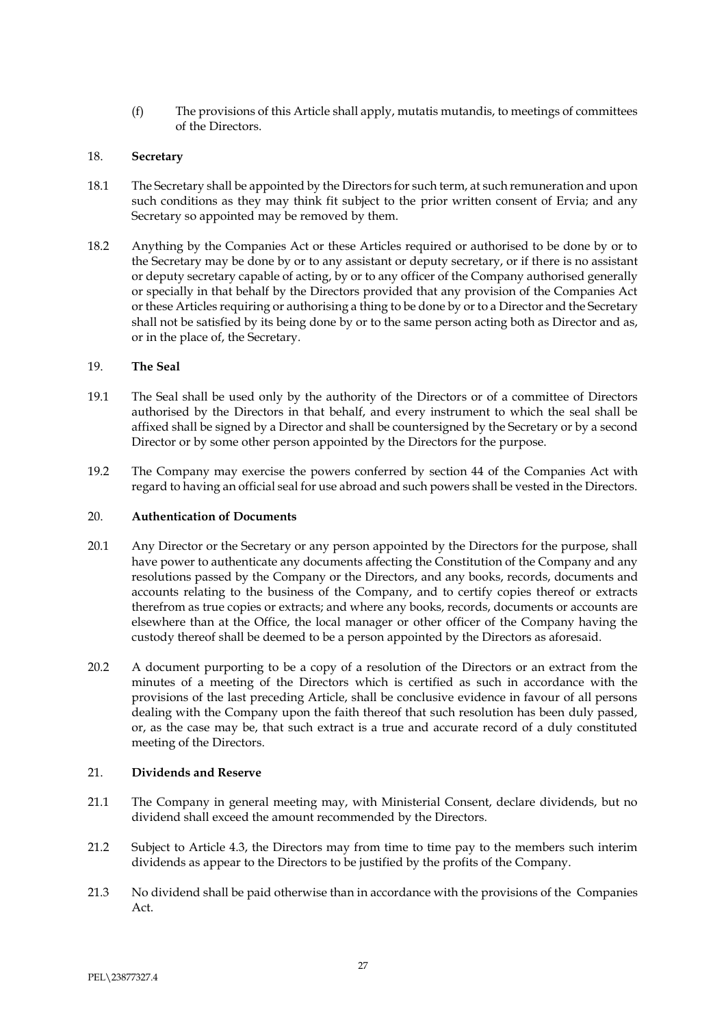(f) The provisions of this Article shall apply, mutatis mutandis, to meetings of committees of the Directors.

## 18. **Secretary**

- 18.1 The Secretary shall be appointed by the Directors for such term, at such remuneration and upon such conditions as they may think fit subject to the prior written consent of Ervia; and any Secretary so appointed may be removed by them.
- 18.2 Anything by the Companies Act or these Articles required or authorised to be done by or to the Secretary may be done by or to any assistant or deputy secretary, or if there is no assistant or deputy secretary capable of acting, by or to any officer of the Company authorised generally or specially in that behalf by the Directors provided that any provision of the Companies Act or these Articles requiring or authorising a thing to be done by or to a Director and the Secretary shall not be satisfied by its being done by or to the same person acting both as Director and as, or in the place of, the Secretary.

## 19. **The Seal**

- 19.1 The Seal shall be used only by the authority of the Directors or of a committee of Directors authorised by the Directors in that behalf, and every instrument to which the seal shall be affixed shall be signed by a Director and shall be countersigned by the Secretary or by a second Director or by some other person appointed by the Directors for the purpose.
- 19.2 The Company may exercise the powers conferred by section 44 of the Companies Act with regard to having an official seal for use abroad and such powers shall be vested in the Directors.

#### 20. **Authentication of Documents**

- 20.1 Any Director or the Secretary or any person appointed by the Directors for the purpose, shall have power to authenticate any documents affecting the Constitution of the Company and any resolutions passed by the Company or the Directors, and any books, records, documents and accounts relating to the business of the Company, and to certify copies thereof or extracts therefrom as true copies or extracts; and where any books, records, documents or accounts are elsewhere than at the Office, the local manager or other officer of the Company having the custody thereof shall be deemed to be a person appointed by the Directors as aforesaid.
- 20.2 A document purporting to be a copy of a resolution of the Directors or an extract from the minutes of a meeting of the Directors which is certified as such in accordance with the provisions of the last preceding Article, shall be conclusive evidence in favour of all persons dealing with the Company upon the faith thereof that such resolution has been duly passed, or, as the case may be, that such extract is a true and accurate record of a duly constituted meeting of the Directors.

## 21. **Dividends and Reserve**

- 21.1 The Company in general meeting may, with Ministerial Consent, declare dividends, but no dividend shall exceed the amount recommended by the Directors.
- 21.2 Subject to Article 4.3, the Directors may from time to time pay to the members such interim dividends as appear to the Directors to be justified by the profits of the Company.
- 21.3 No dividend shall be paid otherwise than in accordance with the provisions of the Companies Act.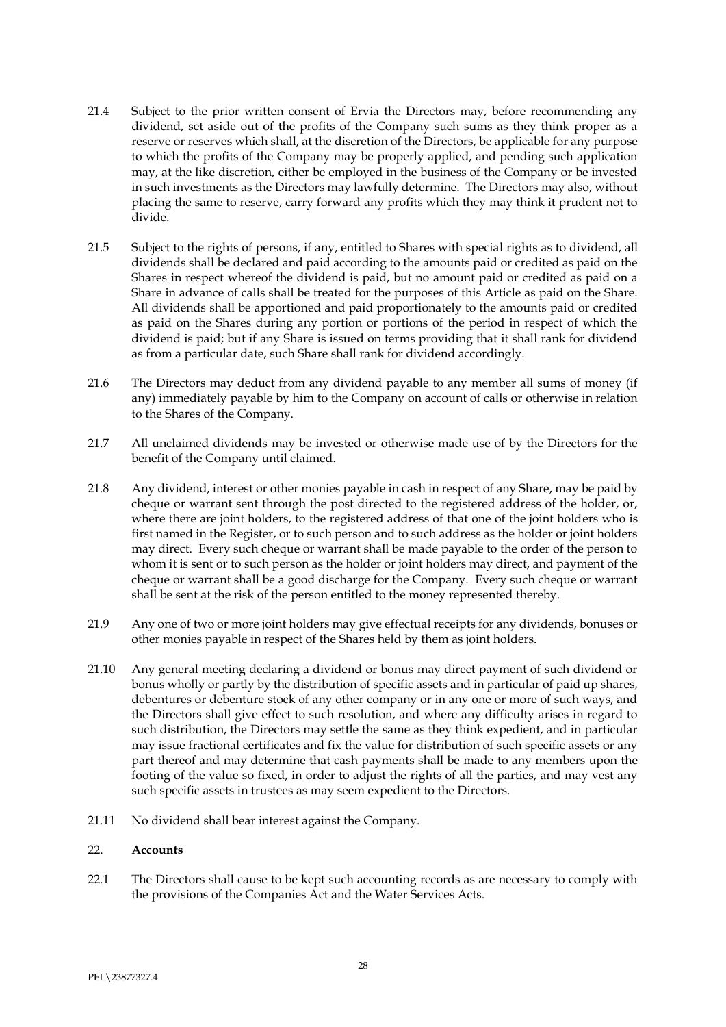- 21.4 Subject to the prior written consent of Ervia the Directors may, before recommending any dividend, set aside out of the profits of the Company such sums as they think proper as a reserve or reserves which shall, at the discretion of the Directors, be applicable for any purpose to which the profits of the Company may be properly applied, and pending such application may, at the like discretion, either be employed in the business of the Company or be invested in such investments as the Directors may lawfully determine. The Directors may also, without placing the same to reserve, carry forward any profits which they may think it prudent not to divide.
- 21.5 Subject to the rights of persons, if any, entitled to Shares with special rights as to dividend, all dividends shall be declared and paid according to the amounts paid or credited as paid on the Shares in respect whereof the dividend is paid, but no amount paid or credited as paid on a Share in advance of calls shall be treated for the purposes of this Article as paid on the Share. All dividends shall be apportioned and paid proportionately to the amounts paid or credited as paid on the Shares during any portion or portions of the period in respect of which the dividend is paid; but if any Share is issued on terms providing that it shall rank for dividend as from a particular date, such Share shall rank for dividend accordingly.
- 21.6 The Directors may deduct from any dividend payable to any member all sums of money (if any) immediately payable by him to the Company on account of calls or otherwise in relation to the Shares of the Company.
- 21.7 All unclaimed dividends may be invested or otherwise made use of by the Directors for the benefit of the Company until claimed.
- 21.8 Any dividend, interest or other monies payable in cash in respect of any Share, may be paid by cheque or warrant sent through the post directed to the registered address of the holder, or, where there are joint holders, to the registered address of that one of the joint holders who is first named in the Register, or to such person and to such address as the holder or joint holders may direct. Every such cheque or warrant shall be made payable to the order of the person to whom it is sent or to such person as the holder or joint holders may direct, and payment of the cheque or warrant shall be a good discharge for the Company. Every such cheque or warrant shall be sent at the risk of the person entitled to the money represented thereby.
- 21.9 Any one of two or more joint holders may give effectual receipts for any dividends, bonuses or other monies payable in respect of the Shares held by them as joint holders.
- 21.10 Any general meeting declaring a dividend or bonus may direct payment of such dividend or bonus wholly or partly by the distribution of specific assets and in particular of paid up shares, debentures or debenture stock of any other company or in any one or more of such ways, and the Directors shall give effect to such resolution, and where any difficulty arises in regard to such distribution, the Directors may settle the same as they think expedient, and in particular may issue fractional certificates and fix the value for distribution of such specific assets or any part thereof and may determine that cash payments shall be made to any members upon the footing of the value so fixed, in order to adjust the rights of all the parties, and may vest any such specific assets in trustees as may seem expedient to the Directors.
- 21.11 No dividend shall bear interest against the Company.

## 22. **Accounts**

22.1 The Directors shall cause to be kept such accounting records as are necessary to comply with the provisions of the Companies Act and the Water Services Acts.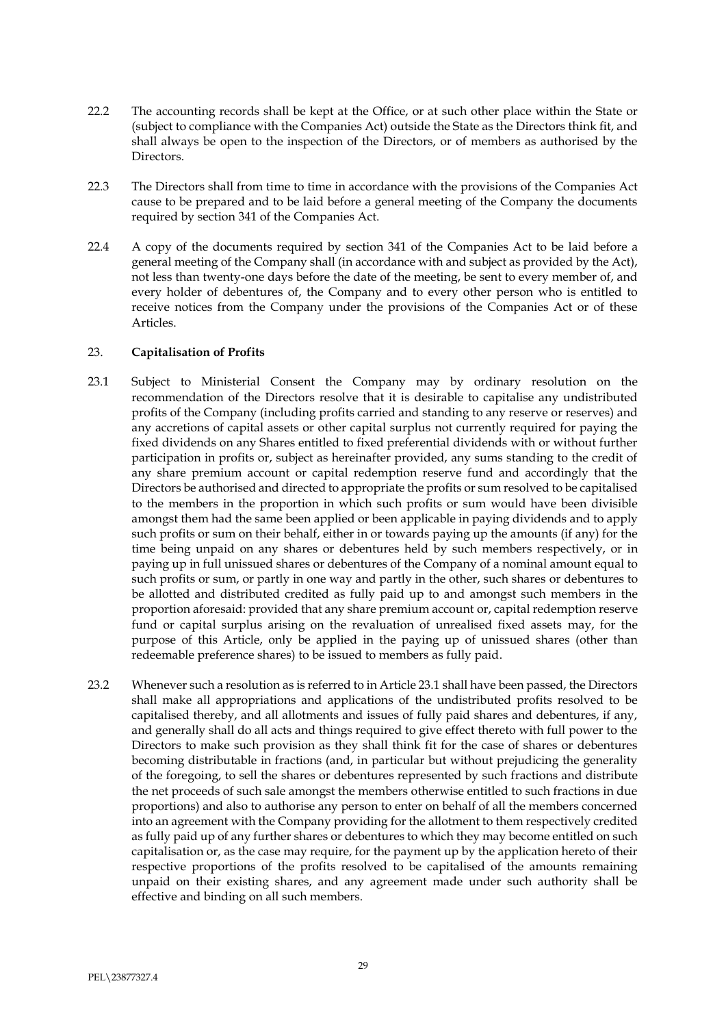- 22.2 The accounting records shall be kept at the Office, or at such other place within the State or (subject to compliance with the Companies Act) outside the State as the Directors think fit, and shall always be open to the inspection of the Directors, or of members as authorised by the Directors.
- 22.3 The Directors shall from time to time in accordance with the provisions of the Companies Act cause to be prepared and to be laid before a general meeting of the Company the documents required by section 341 of the Companies Act.
- 22.4 A copy of the documents required by section 341 of the Companies Act to be laid before a general meeting of the Company shall (in accordance with and subject as provided by the Act), not less than twenty-one days before the date of the meeting, be sent to every member of, and every holder of debentures of, the Company and to every other person who is entitled to receive notices from the Company under the provisions of the Companies Act or of these Articles.

### 23. **Capitalisation of Profits**

- 23.1 Subject to Ministerial Consent the Company may by ordinary resolution on the recommendation of the Directors resolve that it is desirable to capitalise any undistributed profits of the Company (including profits carried and standing to any reserve or reserves) and any accretions of capital assets or other capital surplus not currently required for paying the fixed dividends on any Shares entitled to fixed preferential dividends with or without further participation in profits or, subject as hereinafter provided, any sums standing to the credit of any share premium account or capital redemption reserve fund and accordingly that the Directors be authorised and directed to appropriate the profits or sum resolved to be capitalised to the members in the proportion in which such profits or sum would have been divisible amongst them had the same been applied or been applicable in paying dividends and to apply such profits or sum on their behalf, either in or towards paying up the amounts (if any) for the time being unpaid on any shares or debentures held by such members respectively, or in paying up in full unissued shares or debentures of the Company of a nominal amount equal to such profits or sum, or partly in one way and partly in the other, such shares or debentures to be allotted and distributed credited as fully paid up to and amongst such members in the proportion aforesaid: provided that any share premium account or, capital redemption reserve fund or capital surplus arising on the revaluation of unrealised fixed assets may, for the purpose of this Article, only be applied in the paying up of unissued shares (other than redeemable preference shares) to be issued to members as fully paid.
- 23.2 Whenever such a resolution as is referred to in Article 23.1 shall have been passed, the Directors shall make all appropriations and applications of the undistributed profits resolved to be capitalised thereby, and all allotments and issues of fully paid shares and debentures, if any, and generally shall do all acts and things required to give effect thereto with full power to the Directors to make such provision as they shall think fit for the case of shares or debentures becoming distributable in fractions (and, in particular but without prejudicing the generality of the foregoing, to sell the shares or debentures represented by such fractions and distribute the net proceeds of such sale amongst the members otherwise entitled to such fractions in due proportions) and also to authorise any person to enter on behalf of all the members concerned into an agreement with the Company providing for the allotment to them respectively credited as fully paid up of any further shares or debentures to which they may become entitled on such capitalisation or, as the case may require, for the payment up by the application hereto of their respective proportions of the profits resolved to be capitalised of the amounts remaining unpaid on their existing shares, and any agreement made under such authority shall be effective and binding on all such members.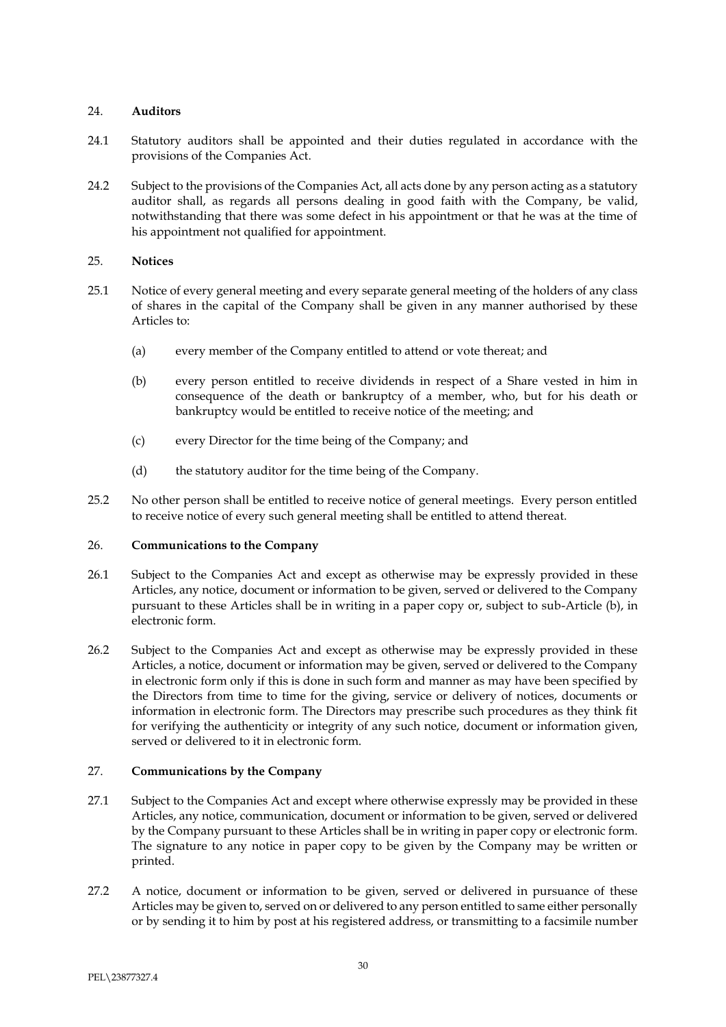## 24. **Auditors**

- 24.1 Statutory auditors shall be appointed and their duties regulated in accordance with the provisions of the Companies Act.
- 24.2 Subject to the provisions of the Companies Act, all acts done by any person acting as a statutory auditor shall, as regards all persons dealing in good faith with the Company, be valid, notwithstanding that there was some defect in his appointment or that he was at the time of his appointment not qualified for appointment.

### 25. **Notices**

- 25.1 Notice of every general meeting and every separate general meeting of the holders of any class of shares in the capital of the Company shall be given in any manner authorised by these Articles to:
	- (a) every member of the Company entitled to attend or vote thereat; and
	- (b) every person entitled to receive dividends in respect of a Share vested in him in consequence of the death or bankruptcy of a member, who, but for his death or bankruptcy would be entitled to receive notice of the meeting; and
	- (c) every Director for the time being of the Company; and
	- (d) the statutory auditor for the time being of the Company.
- 25.2 No other person shall be entitled to receive notice of general meetings. Every person entitled to receive notice of every such general meeting shall be entitled to attend thereat.

#### 26. **Communications to the Company**

- 26.1 Subject to the Companies Act and except as otherwise may be expressly provided in these Articles, any notice, document or information to be given, served or delivered to the Company pursuant to these Articles shall be in writing in a paper copy or, subject to sub-Article (b), in electronic form.
- 26.2 Subject to the Companies Act and except as otherwise may be expressly provided in these Articles, a notice, document or information may be given, served or delivered to the Company in electronic form only if this is done in such form and manner as may have been specified by the Directors from time to time for the giving, service or delivery of notices, documents or information in electronic form. The Directors may prescribe such procedures as they think fit for verifying the authenticity or integrity of any such notice, document or information given, served or delivered to it in electronic form.

## 27. **Communications by the Company**

- 27.1 Subject to the Companies Act and except where otherwise expressly may be provided in these Articles, any notice, communication, document or information to be given, served or delivered by the Company pursuant to these Articles shall be in writing in paper copy or electronic form. The signature to any notice in paper copy to be given by the Company may be written or printed.
- 27.2 A notice, document or information to be given, served or delivered in pursuance of these Articles may be given to, served on or delivered to any person entitled to same either personally or by sending it to him by post at his registered address, or transmitting to a facsimile number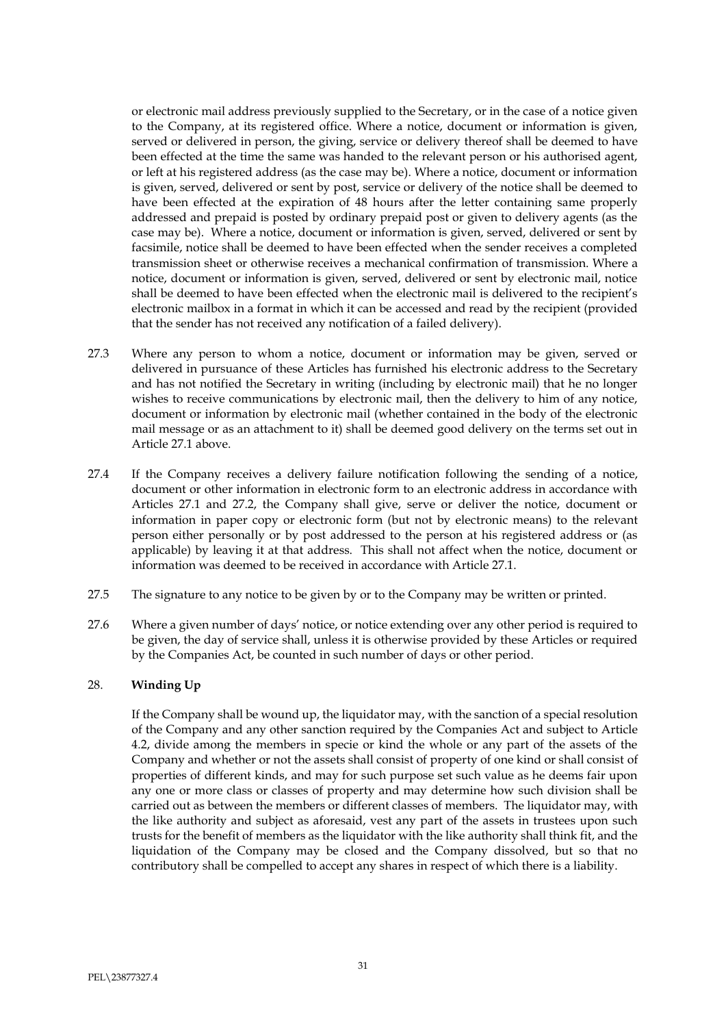or electronic mail address previously supplied to the Secretary, or in the case of a notice given to the Company, at its registered office. Where a notice, document or information is given, served or delivered in person, the giving, service or delivery thereof shall be deemed to have been effected at the time the same was handed to the relevant person or his authorised agent, or left at his registered address (as the case may be). Where a notice, document or information is given, served, delivered or sent by post, service or delivery of the notice shall be deemed to have been effected at the expiration of 48 hours after the letter containing same properly addressed and prepaid is posted by ordinary prepaid post or given to delivery agents (as the case may be). Where a notice, document or information is given, served, delivered or sent by facsimile, notice shall be deemed to have been effected when the sender receives a completed transmission sheet or otherwise receives a mechanical confirmation of transmission. Where a notice, document or information is given, served, delivered or sent by electronic mail, notice shall be deemed to have been effected when the electronic mail is delivered to the recipient's electronic mailbox in a format in which it can be accessed and read by the recipient (provided that the sender has not received any notification of a failed delivery).

- 27.3 Where any person to whom a notice, document or information may be given, served or delivered in pursuance of these Articles has furnished his electronic address to the Secretary and has not notified the Secretary in writing (including by electronic mail) that he no longer wishes to receive communications by electronic mail, then the delivery to him of any notice, document or information by electronic mail (whether contained in the body of the electronic mail message or as an attachment to it) shall be deemed good delivery on the terms set out in Article 27.1 above.
- 27.4 If the Company receives a delivery failure notification following the sending of a notice, document or other information in electronic form to an electronic address in accordance with Articles 27.1 and 27.2, the Company shall give, serve or deliver the notice, document or information in paper copy or electronic form (but not by electronic means) to the relevant person either personally or by post addressed to the person at his registered address or (as applicable) by leaving it at that address. This shall not affect when the notice, document or information was deemed to be received in accordance with Article 27.1.
- 27.5 The signature to any notice to be given by or to the Company may be written or printed.
- 27.6 Where a given number of days' notice, or notice extending over any other period is required to be given, the day of service shall, unless it is otherwise provided by these Articles or required by the Companies Act, be counted in such number of days or other period.

## 28. **Winding Up**

If the Company shall be wound up, the liquidator may, with the sanction of a special resolution of the Company and any other sanction required by the Companies Act and subject to Article 4.2, divide among the members in specie or kind the whole or any part of the assets of the Company and whether or not the assets shall consist of property of one kind or shall consist of properties of different kinds, and may for such purpose set such value as he deems fair upon any one or more class or classes of property and may determine how such division shall be carried out as between the members or different classes of members. The liquidator may, with the like authority and subject as aforesaid, vest any part of the assets in trustees upon such trusts for the benefit of members as the liquidator with the like authority shall think fit, and the liquidation of the Company may be closed and the Company dissolved, but so that no contributory shall be compelled to accept any shares in respect of which there is a liability.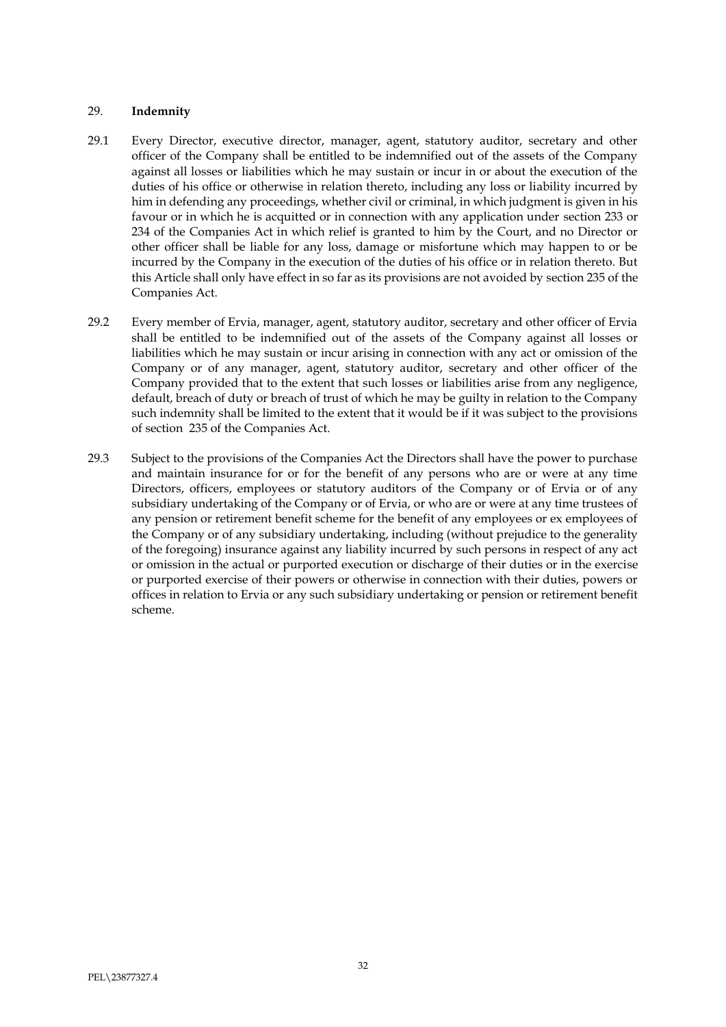### 29. **Indemnity**

- 29.1 Every Director, executive director, manager, agent, statutory auditor, secretary and other officer of the Company shall be entitled to be indemnified out of the assets of the Company against all losses or liabilities which he may sustain or incur in or about the execution of the duties of his office or otherwise in relation thereto, including any loss or liability incurred by him in defending any proceedings, whether civil or criminal, in which judgment is given in his favour or in which he is acquitted or in connection with any application under section 233 or 234 of the Companies Act in which relief is granted to him by the Court, and no Director or other officer shall be liable for any loss, damage or misfortune which may happen to or be incurred by the Company in the execution of the duties of his office or in relation thereto. But this Article shall only have effect in so far as its provisions are not avoided by section 235 of the Companies Act.
- 29.2 Every member of Ervia, manager, agent, statutory auditor, secretary and other officer of Ervia shall be entitled to be indemnified out of the assets of the Company against all losses or liabilities which he may sustain or incur arising in connection with any act or omission of the Company or of any manager, agent, statutory auditor, secretary and other officer of the Company provided that to the extent that such losses or liabilities arise from any negligence, default, breach of duty or breach of trust of which he may be guilty in relation to the Company such indemnity shall be limited to the extent that it would be if it was subject to the provisions of section 235 of the Companies Act.
- 29.3 Subject to the provisions of the Companies Act the Directors shall have the power to purchase and maintain insurance for or for the benefit of any persons who are or were at any time Directors, officers, employees or statutory auditors of the Company or of Ervia or of any subsidiary undertaking of the Company or of Ervia, or who are or were at any time trustees of any pension or retirement benefit scheme for the benefit of any employees or ex employees of the Company or of any subsidiary undertaking, including (without prejudice to the generality of the foregoing) insurance against any liability incurred by such persons in respect of any act or omission in the actual or purported execution or discharge of their duties or in the exercise or purported exercise of their powers or otherwise in connection with their duties, powers or offices in relation to Ervia or any such subsidiary undertaking or pension or retirement benefit scheme.